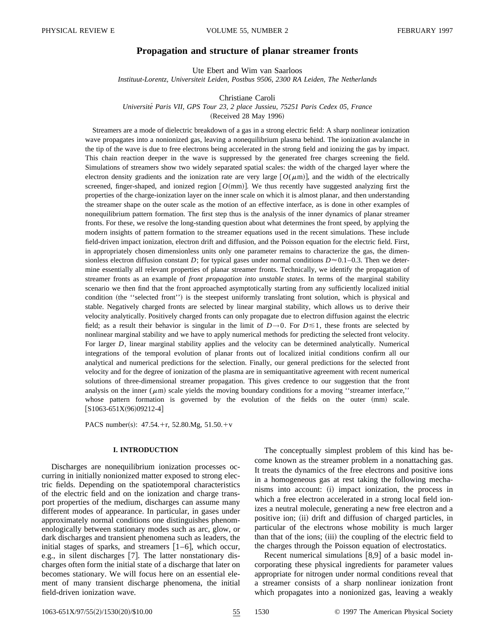# **Propagation and structure of planar streamer fronts**

Ute Ebert and Wim van Saarloos *Instituut-Lorentz, Universiteit Leiden, Postbus 9506, 2300 RA Leiden, The Netherlands*

Christiane Caroli

*Universite´ Paris VII, GPS Tour 23, 2 place Jussieu, 75251 Paris Cedex 05, France*

(Received 28 May 1996)

Streamers are a mode of dielectric breakdown of a gas in a strong electric field: A sharp nonlinear ionization wave propagates into a nonionized gas, leaving a nonequilibrium plasma behind. The ionization avalanche in the tip of the wave is due to free electrons being accelerated in the strong field and ionizing the gas by impact. This chain reaction deeper in the wave is suppressed by the generated free charges screening the field. Simulations of streamers show two widely separated spatial scales: the width of the charged layer where the electron density gradients and the ionization rate are very large  $[O(\mu m)]$ , and the width of the electrically screened, finger-shaped, and ionized region  $[O(mm)]$ . We thus recently have suggested analyzing first the properties of the charge-ionization layer on the inner scale on which it is almost planar, and then understanding the streamer shape on the outer scale as the motion of an effective interface, as is done in other examples of nonequilibrium pattern formation. The first step thus is the analysis of the inner dynamics of planar streamer fronts. For these, we resolve the long-standing question about what determines the front speed, by applying the modern insights of pattern formation to the streamer equations used in the recent simulations. These include field-driven impact ionization, electron drift and diffusion, and the Poisson equation for the electric field. First, in appropriately chosen dimensionless units only one parameter remains to characterize the gas, the dimensionless electron diffusion constant *D*; for typical gases under normal conditions  $D \approx 0.1$ –0.3. Then we determine essentially all relevant properties of planar streamer fronts. Technically, we identify the propagation of streamer fronts as an example of *front propagation into unstable states*. In terms of the marginal stability scenario we then find that the front approached asymptotically starting from any sufficiently localized initial condition (the "selected front") is the steepest uniformly translating front solution, which is physical and stable. Negatively charged fronts are selected by linear marginal stability, which allows us to derive their velocity analytically. Positively charged fronts can only propagate due to electron diffusion against the electric field; as a result their behavior is singular in the limit of  $D\rightarrow 0$ . For  $D\leq 1$ , these fronts are selected by nonlinear marginal stability and we have to apply numerical methods for predicting the selected front velocity. For larger *D*, linear marginal stability applies and the velocity can be determined analytically. Numerical integrations of the temporal evolution of planar fronts out of localized initial conditions confirm all our analytical and numerical predictions for the selection. Finally, our general predictions for the selected front velocity and for the degree of ionization of the plasma are in semiquantitative agreement with recent numerical solutions of three-dimensional streamer propagation. This gives credence to our suggestion that the front analysis on the inner  $(\mu m)$  scale yields the moving boundary conditions for a moving "streamer interface," whose pattern formation is governed by the evolution of the fields on the outer (mm) scale.  $[S1063-651X(96)09212-4]$ 

PACS number(s):  $47.54.+r$ ,  $52.80.Mg$ ,  $51.50.+v$ 

### **I. INTRODUCTION**

Discharges are nonequilibrium ionization processes occurring in initially nonionized matter exposed to strong electric fields. Depending on the spatiotemporal characteristics of the electric field and on the ionization and charge transport properties of the medium, discharges can assume many different modes of appearance. In particular, in gases under approximately normal conditions one distinguishes phenomenologically between stationary modes such as arc, glow, or dark discharges and transient phenomena such as leaders, the initial stages of sparks, and streamers  $[1-6]$ , which occur, e.g., in silent discharges [7]. The latter nonstationary discharges often form the initial state of a discharge that later on becomes stationary. We will focus here on an essential element of many transient discharge phenomena, the initial field-driven ionization wave.

The conceptually simplest problem of this kind has become known as the streamer problem in a nonattaching gas. It treats the dynamics of the free electrons and positive ions in a homogeneous gas at rest taking the following mechanisms into account: (i) impact ionization, the process in which a free electron accelerated in a strong local field ionizes a neutral molecule, generating a new free electron and a positive ion; (ii) drift and diffusion of charged particles, in particular of the electrons whose mobility is much larger than that of the ions; (iii) the coupling of the electric field to the charges through the Poisson equation of electrostatics.

Recent numerical simulations  $[8,9]$  of a basic model incorporating these physical ingredients for parameter values appropriate for nitrogen under normal conditions reveal that a streamer consists of a sharp nonlinear ionization front which propagates into a nonionized gas, leaving a weakly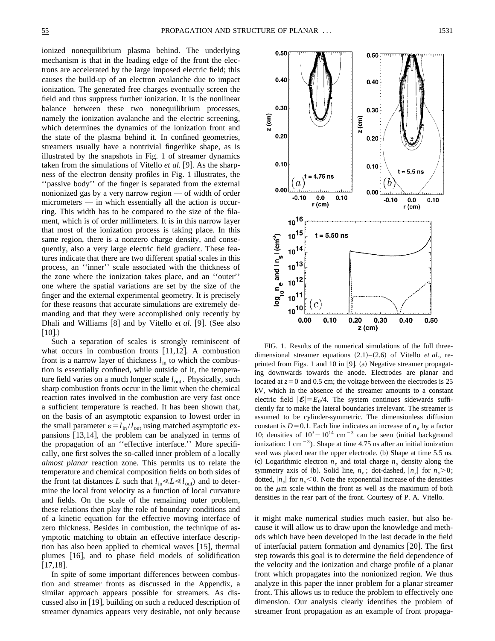ionized nonequilibrium plasma behind. The underlying mechanism is that in the leading edge of the front the electrons are accelerated by the large imposed electric field; this causes the build-up of an electron avalanche due to impact ionization. The generated free charges eventually screen the field and thus suppress further ionization. It is the nonlinear balance between these two nonequilibrium processes, namely the ionization avalanche and the electric screening, which determines the dynamics of the ionization front and the state of the plasma behind it. In confined geometries, streamers usually have a nontrivial fingerlike shape, as is illustrated by the snapshots in Fig. 1 of streamer dynamics taken from the simulations of Vitello *et al.* [9]. As the sharpness of the electron density profiles in Fig. 1 illustrates, the ''passive body'' of the finger is separated from the external nonionized gas by a very narrow region — of width of order micrometers — in which essentially all the action is occurring. This width has to be compared to the size of the filament, which is of order millimeters. It is in this narrow layer that most of the ionization process is taking place. In this same region, there is a nonzero charge density, and consequently, also a very large electric field gradient. These features indicate that there are two different spatial scales in this process, an ''inner'' scale associated with the thickness of the zone where the ionization takes place, and an ''outer'' one where the spatial variations are set by the size of the finger and the external experimental geometry. It is precisely for these reasons that accurate simulations are extremely demanding and that they were accomplished only recently by Dhali and Williams [8] and by Vitello *et al.* [9]. (See also  $[10]$ .)

Such a separation of scales is strongly reminiscent of what occurs in combustion fronts  $[11,12]$ . A combustion front is a narrow layer of thickness  $l_{\text{in}}$  to which the combustion is essentially confined, while outside of it, the temperature field varies on a much longer scale  $l_{\text{out}}$ . Physically, such sharp combustion fronts occur in the limit when the chemical reaction rates involved in the combustion are very fast once a sufficient temperature is reached. It has been shown that, on the basis of an asymptotic expansion to lowest order in the small parameter  $\varepsilon = l_{\text{in}} / l_{\text{out}}$  using matched asymptotic expansions  $[13,14]$ , the problem can be analyzed in terms of the propagation of an ''effective interface.'' More specifically, one first solves the so-called inner problem of a locally *almost planar* reaction zone. This permits us to relate the temperature and chemical composition fields on both sides of the front (at distances *L* such that  $l_{in} \ll L \ll l_{out}$ ) and to determine the local front velocity as a function of local curvature and fields. On the scale of the remaining outer problem, these relations then play the role of boundary conditions and of a kinetic equation for the effective moving interface of zero thickness. Besides in combustion, the technique of asymptotic matching to obtain an effective interface description has also been applied to chemical waves  $[15]$ , thermal plumes [16], and to phase field models of solidification  $[17,18]$ .

In spite of some important differences between combustion and streamer fronts as discussed in the Appendix, a similar approach appears possible for streamers. As discussed also in  $\vert 19 \vert$ , building on such a reduced description of streamer dynamics appears very desirable, not only because

FIG. 1. Results of the numerical simulations of the full threedimensional streamer equations  $(2.1)$ – $(2.6)$  of Vitello *et al.*, reprinted from Figs. 1 and 10 in [9]. (a) Negative streamer propagating downwards towards the anode. Electrodes are planar and located at  $z=0$  and 0.5 cm; the voltage between the electrodes is 25 kV, which in the absence of the streamer amounts to a constant electric field  $|\mathcal{E}| = E_0/4$ . The system continues sidewards sufficiently far to make the lateral boundaries irrelevant. The streamer is assumed to be cylinder-symmetric. The dimensionless diffusion constant is  $D=0.1$ . Each line indicates an increase of  $n_e$  by a factor 10; densities of  $10^3 - 10^{14}$  cm<sup>-3</sup> can be seen (initial background ionization: 1 cm<sup> $-3$ </sup>). Shape at time 4.75 ns after an initial ionization seed was placed near the upper electrode. (b) Shape at time 5.5 ns. (c) Logarithmic electron  $n_e$  and total charge  $n_s$  density along the symmetry axis of (b). Solid line,  $n_e$ ; dot-dashed,  $|n_s|$  for  $n_s > 0$ ; dotted,  $|n_s|$  for  $n_s$  < 0. Note the exponential increase of the densities on the  $\mu$ m scale within the front as well as the maximum of both densities in the rear part of the front. Courtesy of P. A. Vitello.

it might make numerical studies much easier, but also because it will allow us to draw upon the knowledge and methods which have been developed in the last decade in the field of interfacial pattern formation and dynamics [20]. The first step towards this goal is to determine the field dependence of the velocity and the ionization and charge profile of a planar front which propagates into the nonionized region. We thus analyze in this paper the inner problem for a planar streamer front. This allows us to reduce the problem to effectively one dimension. Our analysis clearly identifies the problem of streamer front propagation as an example of front propaga-



0.50

0.50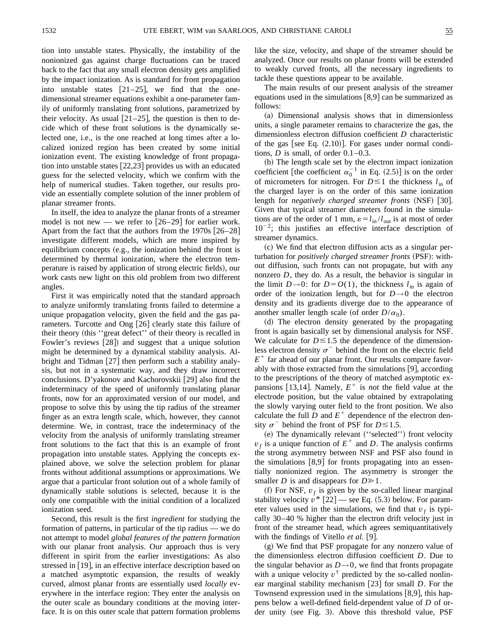tion into unstable states. Physically, the instability of the nonionized gas against charge fluctuations can be traced back to the fact that any small electron density gets amplified by the impact ionization. As is standard for front propagation into unstable states  $[21-25]$ , we find that the onedimensional streamer equations exhibit a one-parameter family of uniformly translating front solutions, parametrized by their velocity. As usual  $[21–25]$ , the question is then to decide which of these front solutions is the dynamically selected one, i.e., is the one reached at long times after a localized ionized region has been created by some initial ionization event. The existing knowledge of front propagation into unstable states  $[22,23]$  provides us with an educated guess for the selected velocity, which we confirm with the help of numerical studies. Taken together, our results provide an essentially complete solution of the inner problem of planar streamer fronts.

In itself, the idea to analyze the planar fronts of a streamer model is not new — we refer to  $[26-29]$  for earlier work. Apart from the fact that the authors from the  $1970s$   $[26-28]$ investigate different models, which are more inspired by equilibrium concepts (e.g., the ionization behind the front is determined by thermal ionization, where the electron temperature is raised by application of strong electric fields), our work casts new light on this old problem from two different angles.

First it was empirically noted that the standard approach to analyze uniformly translating fronts failed to determine a unique propagation velocity, given the field and the gas parameters. Turcotte and Ong  $[26]$  clearly state this failure of their theory (this "great defect" of their theory is recalled in Fowler's reviews [28]) and suggest that a unique solution might be determined by a dynamical stability analysis. Albright and Tidman  $[27]$  then perform such a stability analysis, but not in a systematic way, and they draw incorrect conclusions. D'yakonov and Kachorovskii [29] also find the indeterminacy of the speed of uniformly translating planar fronts, now for an approximated version of our model, and propose to solve this by using the tip radius of the streamer finger as an extra length scale, which, however, they cannot determine. We, in contrast, trace the indeterminacy of the velocity from the analysis of uniformly translating streamer front solutions to the fact that this is an example of front propagation into unstable states. Applying the concepts explained above, we solve the selection problem for planar fronts without additional assumptions or approximations. We argue that a particular front solution out of a whole family of dynamically stable solutions is selected, because it is the only one compatible with the initial condition of a localized ionization seed.

Second, this result is the first *ingredient* for studying the formation of patterns, in particular of the tip radius — we do not attempt to model *global features of the pattern formation* with our planar front analysis. Our approach thus is very different in spirit from the earlier investigations: As also stressed in  $[19]$ , in an effective interface description based on a matched asymptotic expansion, the results of weakly curved, almost planar fronts are essentially used *locally* everywhere in the interface region: They enter the analysis on the outer scale as boundary conditions at the moving interface. It is on this outer scale that pattern formation problems like the size, velocity, and shape of the streamer should be analyzed. Once our results on planar fronts will be extended to weakly curved fronts, all the necessary ingredients to tackle these questions appear to be available.

The main results of our present analysis of the streamer equations used in the simulations  $[8,9]$  can be summarized as follows:

(a) Dimensional analysis shows that in dimensionless units, a single parameter remains to characterize the gas, the dimensionless electron diffusion coefficient *D* characteristic of the gas [see Eq.  $(2.10)$ ]. For gases under normal conditions,  $D$  is small, of order  $0.1-0.3$ .

(b) The length scale set by the electron impact ionization coefficient [the coefficient  $\alpha_0^{-1}$  in Eq. (2.5)] is on the order of micrometers for nitrogen. For  $D \le 1$  the thickness  $l_{\text{in}}$  of the charged layer is on the order of this same ionization length for *negatively charged streamer fronts* (NSF) [30]. Given that typical streamer diameters found in the simulations are of the order of 1 mm,  $\varepsilon = l_{in}/l_{out}$  is at most of order  $10^{-2}$ ; this justifies an effective interface description of streamer dynamics.

~c! We find that electron diffusion acts as a singular perturbation for *positively charged streamer fronts* (PSF): without diffusion, such fronts can not propagate, but with any nonzero *D*, they do. As a result, the behavior is singular in the limit *D*→0: for *D*=*O*(1), the thickness  $l_{\text{in}}$  is again of order of the ionization length, but for  $D\rightarrow 0$  the electron density and its gradients diverge due to the appearance of another smaller length scale (of order  $D/\alpha_0$ ).

~d! The electron density generated by the propagating front is again basically set by dimensional analysis for NSF. We calculate for  $D \le 1.5$  the dependence of the dimensionless electron density  $\sigma^-$  behind the front on the electric field  $E^+$  far ahead of our planar front. Our results compare favorably with those extracted from the simulations  $[9]$ , according to the prescriptions of the theory of matched asymptotic expansions [13,14]. Namely,  $E^+$  is *not* the field value at the electrode position, but the value obtained by extrapolating the slowly varying outer field to the front position. We also calculate the full *D* and  $E^+$  dependence of the electron density  $\sigma^-$  behind the front of PSF for *D*  $\leq$  1.5.

(e) The dynamically relevant ("selected") front velocity  $v_f$  is a unique function of  $E^+$  and *D*. The analysis confirms the strong asymmetry between NSF and PSF also found in the simulations  $[8,9]$  for fronts propagating into an essentially nonionized region. The asymmetry is stronger the smaller *D* is and disappears for  $D \ge 1$ .

(f) For NSF,  $v_f$  is given by the so-called linear marginal stability velocity  $v^*$  [22] — see Eq.  $(5.3)$  below. For parameter values used in the simulations, we find that  $v_f$  is typically 30–40 % higher than the electron drift velocity just in front of the streamer head, which agrees semiquantitatively with the findings of Vitello *et al.* [9].

 $(g)$  We find that PSF propagate for any nonzero value of the dimensionless electron diffusion coefficient *D*. Due to the singular behavior as  $D\rightarrow 0$ , we find that fronts propagate with a unique velocity  $v^{\dagger}$  predicted by the so-called nonlinear marginal stability mechanism  $[23]$  for small *D*. For the Townsend expression used in the simulations  $\{8,9\}$ , this happens below a well-defined field-dependent value of *D* of order unity (see Fig. 3). Above this threshold value, PSF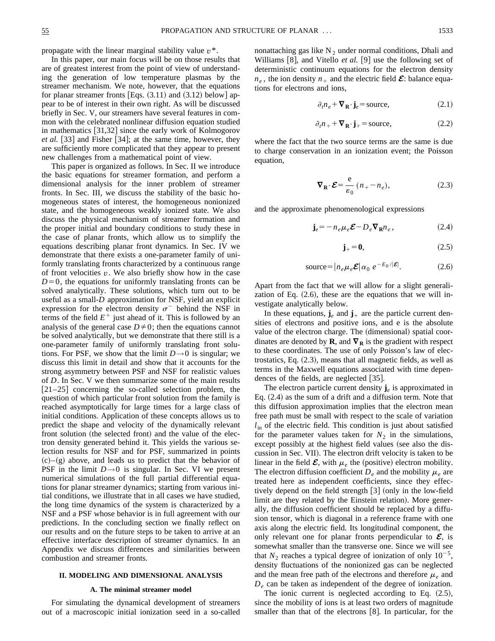propagate with the linear marginal stability value *v*\*.

In this paper, our main focus will be on those results that are of greatest interest from the point of view of understanding the generation of low temperature plasmas by the streamer mechanism. We note, however, that the equations for planar streamer fronts [Eqs.  $(3.11)$  and  $(3.12)$  below] appear to be of interest in their own right. As will be discussed briefly in Sec. V, our streamers have several features in common with the celebrated nonlinear diffusion equation studied in mathematics  $[31,32]$  since the early work of Kolmogorov *et al.* [33] and Fisher [34]; at the same time, however, they are sufficiently more complicated that they appear to present new challenges from a mathematical point of view.

This paper is organized as follows. In Sec. II we introduce the basic equations for streamer formation, and perform a dimensional analysis for the inner problem of streamer fronts. In Sec. III, we discuss the stability of the basic homogeneous states of interest, the homogeneous nonionized state, and the homogeneous weakly ionized state. We also discuss the physical mechanism of streamer formation and the proper initial and boundary conditions to study these in the case of planar fronts, which allow us to simplify the equations describing planar front dynamics. In Sec. IV we demonstrate that there exists a one-parameter family of uniformly translating fronts characterized by a continuous range of front velocities *v*. We also briefly show how in the case  $D=0$ , the equations for uniformly translating fronts can be solved analytically. These solutions, which turn out to be useful as a small-*D* approximation for NSF, yield an explicit expression for the electron density  $\sigma^-$  behind the NSF in terms of the field  $E^+$  just ahead of it. This is followed by an analysis of the general case  $D\neq 0$ ; then the equations cannot be solved analytically, but we demonstrate that there still is a one-parameter family of uniformly translating front solutions. For PSF, we show that the limit  $D\rightarrow 0$  is singular; we discuss this limit in detail and show that it accounts for the strong asymmetry between PSF and NSF for realistic values of *D*. In Sec. V we then summarize some of the main results  $\lfloor 21-25 \rfloor$  concerning the so-called selection problem, the question of which particular front solution from the family is reached asymptotically for large times for a large class of initial conditions. Application of these concepts allows us to predict the shape and velocity of the dynamically relevant front solution (the selected front) and the value of the electron density generated behind it. This yields the various selection results for NSF and for PSF, summarized in points  $(c)$ – $(g)$  above, and leads us to predict that the behavior of PSF in the limit  $D\rightarrow 0$  is singular. In Sec. VI we present numerical simulations of the full partial differential equations for planar streamer dynamics; starting from various initial conditions, we illustrate that in all cases we have studied, the long time dynamics of the system is characterized by a NSF and a PSF whose behavior is in full agreement with our predictions. In the concluding section we finally reflect on our results and on the future steps to be taken to arrive at an effective interface description of streamer dynamics. In an Appendix we discuss differences and similarities between combustion and streamer fronts.

# **II. MODELING AND DIMENSIONAL ANALYSIS**

### **A. The minimal streamer model**

For simulating the dynamical development of streamers out of a macroscopic initial ionization seed in a so-called nonattaching gas like  $N_2$  under normal conditions, Dhali and Williams [8], and Vitello *et al.* [9] use the following set of deterministic continuum equations for the electron density  $n_e$ , the ion density  $n_+$  and the electric field  $\mathcal{E}$ : balance equations for electrons and ions,

$$
\partial_t n_e + \nabla_\mathbf{R} \cdot \mathbf{j}_e = \text{source},\tag{2.1}
$$

$$
\partial_t n_+ + \nabla_\mathbf{R} \cdot \mathbf{j}_+ = \text{source},\tag{2.2}
$$

where the fact that the two source terms are the same is due to charge conservation in an ionization event; the Poisson equation,

$$
\nabla_{\mathbf{R}} \cdot \mathcal{E} = \frac{e}{\varepsilon_0} (n_+ - n_e), \tag{2.3}
$$

and the approximate phenomenological expressions

$$
\mathbf{j}_e = -n_e \mu_e \mathcal{E} - D_e \nabla_{\mathbf{R}} n_e, \qquad (2.4)
$$

$$
\mathbf{j}_{+}=\mathbf{0},\tag{2.5}
$$

$$
source = |n_e \mu_e \mathcal{E}| \alpha_0 e^{-E_0/|\mathcal{E}|}. \tag{2.6}
$$

Apart from the fact that we will allow for a slight generalization of Eq.  $(2.6)$ , these are the equations that we will investigate analytically below.

In these equations,  $\mathbf{j}_e$  and  $\mathbf{j}_+$  are the particle current densities of electrons and positive ions, and e is the absolute value of the electron charge. The (dimensional) spatial coordinates are denoted by **R**, and  $\nabla_R$  is the gradient with respect to these coordinates. The use of only Poisson's law of electrostatics, Eq.  $(2.3)$ , means that all magnetic fields, as well as terms in the Maxwell equations associated with time dependences of the fields, are neglected  $[35]$ .

The electron particle current density **j***<sup>e</sup>* is approximated in Eq.  $(2.4)$  as the sum of a drift and a diffusion term. Note that this diffusion approximation implies that the electron mean free path must be small with respect to the scale of variation *l*in of the electric field. This condition is just about satisfied for the parameter values taken for  $N_2$  in the simulations, except possibly at the highest field values (see also the discussion in Sec. VII). The electron drift velocity is taken to be linear in the field  $\mathcal{E}$ , with  $\mu_e$  the (positive) electron mobility. The electron diffusion coefficient  $D_e$  and the mobility  $\mu_e$  are treated here as independent coefficients, since they effectively depend on the field strength  $|3|$  (only in the low-field limit are they related by the Einstein relation). More generally, the diffusion coefficient should be replaced by a diffusion tensor, which is diagonal in a reference frame with one axis along the electric field. Its longitudinal component, the only relevant one for planar fronts perpendicular to  $\mathcal{E}$ , is somewhat smaller than the transverse one. Since we will see that  $N_2$  reaches a typical degree of ionization of only  $10^{-5}$ , density fluctuations of the nonionized gas can be neglected and the mean free path of the electrons and therefore  $\mu_e$  and *De* can be taken as independent of the degree of ionization.

The ionic current is neglected according to Eq.  $(2.5)$ , since the mobility of ions is at least two orders of magnitude smaller than that of the electrons  $[8]$ . In particular, for the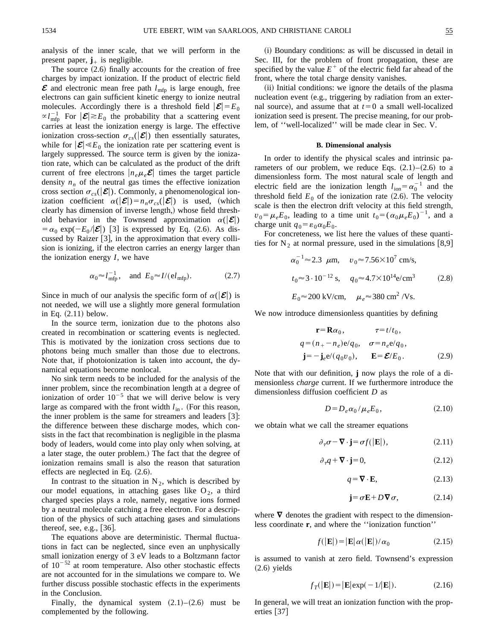analysis of the inner scale, that we will perform in the present paper,  $\mathbf{j}_{+}$  is negligible.

The source  $(2.6)$  finally accounts for the creation of free charges by impact ionization. If the product of electric field  $\mathcal E$  and electronic mean free path  $l_{\text{mfp}}$  is large enough, free electrons can gain sufficient kinetic energy to ionize neutral molecules. Accordingly there is a threshold field  $|\mathcal{E}| = E_0$  $\alpha l_{\text{mfp}}^{-1}$  For  $|\mathcal{E}| \gtrsim E_0$  the probability that a scattering event carries at least the ionization energy is large. The effective ionization cross-section  $\sigma_{cs}(|\mathcal{E}|)$  then essentially saturates, while for  $|\mathcal{E}| \ll E_0$  the ionization rate per scattering event is largely suppressed. The source term is given by the ionization rate, which can be calculated as the product of the drift current of free electrons  $n_e\mu_e\mathcal{E}$  times the target particle density  $n_n$  of the neutral gas times the effective ionization cross section  $\sigma_{cs}(|\mathcal{E}|)$ . Commonly, a phenomenological ionization coefficient  $\alpha(|\mathcal{E}|) = n_n \sigma_{cs}(|\mathcal{E}|)$  is used, (which clearly has dimension of inverse length,) whose field threshold behavior in the Townsend approximation  $\alpha(|\mathcal{E}|)$  $= \alpha_0 \exp(-E_0/\mathcal{E})$  [3] is expressed by Eq. (2.6). As discussed by Raizer  $[3]$ , in the approximation that every collision is ionizing, if the electron carries an energy larger than the ionization energy *I*, we have

$$
\alpha_0 \approx l_{\text{mfp}}^{-1}
$$
, and  $E_0 \approx I/(\text{el}_{\text{mfp}})$ . (2.7)

Since in much of our analysis the specific form of  $\alpha(|\mathcal{E}|)$  is not needed, we will use a slightly more general formulation in Eq.  $(2.11)$  below.

In the source term, ionization due to the photons also created in recombination or scattering events is neglected. This is motivated by the ionization cross sections due to photons being much smaller than those due to electrons. Note that, if photoionization is taken into account, the dynamical equations become nonlocal.

No sink term needs to be included for the analysis of the inner problem, since the recombination length at a degree of ionization of order  $10^{-5}$  that we will derive below is very large as compared with the front width  $l_{\text{in}}$ . (For this reason, the inner problem is the same for streamers and leaders  $\lceil 3 \rceil$ : the difference between these discharge modes, which consists in the fact that recombination is negligible in the plasma body of leaders, would come into play only when solving, at a later stage, the outer problem.) The fact that the degree of ionization remains small is also the reason that saturation effects are neglected in Eq.  $(2.6)$ .

In contrast to the situation in  $N_2$ , which is described by our model equations, in attaching gases like  $O_2$ , a third charged species plays a role, namely, negative ions formed by a neutral molecule catching a free electron. For a description of the physics of such attaching gases and simulations thereof, see, e.g.,  $[36]$ .

The equations above are deterministic. Thermal fluctuations in fact can be neglected, since even an unphysically small ionization energy of 3 eV leads to a Boltzmann factor of  $10^{-52}$  at room temperature. Also other stochastic effects are not accounted for in the simulations we compare to. We further discuss possible stochastic effects in the experiments in the Conclusion.

Finally, the dynamical system  $(2.1)$ – $(2.6)$  must be complemented by the following.

 $(i)$  Boundary conditions: as will be discussed in detail in Sec. III, for the problem of front propagation, these are specified by the value  $E^+$  of the electric field far ahead of the front, where the total charge density vanishes.

(ii) Initial conditions: we ignore the details of the plasma nucleation event (e.g., triggering by radiation from an external source), and assume that at  $t=0$  a small well-localized ionization seed is present. The precise meaning, for our problem, of ''well-localized'' will be made clear in Sec. V.

### **B. Dimensional analysis**

In order to identify the physical scales and intrinsic parameters of our problem, we reduce Eqs.  $(2.1)$ – $(2.6)$  to a dimensionless form. The most natural scale of length and electric field are the ionization length  $l_{\text{ion}} = \alpha_0^{-1}$  and the threshold field  $E_0$  of the ionization rate  $(2.6)$ . The velocity scale is then the electron drift velocity at this field strength,  $v_0 = \mu_e E_0$ , leading to a time unit  $t_0 = (\alpha_0 \mu_e E_0)^{-1}$ , and a charge unit  $q_0 = \varepsilon_0 \alpha_0 E_0$ .

For concreteness, we list here the values of these quantities for  $N_2$  at normal pressure, used in the simulations [8,9]

$$
\alpha_0^{-1} \approx 2.3 \mu \text{m}, \quad v_0 \approx 7.56 \times 10^7 \text{ cm/s},
$$
  
\n $t_0 \approx 3 \cdot 10^{-12} \text{ s}, \quad q_0 \approx 4.7 \times 10^{14} \text{e/cm}^3$  (2.8)  
\n $E_0 \approx 200 \text{ kV/cm}, \quad \mu_e \approx 380 \text{ cm}^2 / \text{Vs}.$ 

We now introduce dimensionless quantities by defining

$$
\mathbf{r} = \mathbf{R}\alpha_0, \qquad \tau = t/t_0,
$$
  
\n
$$
q = (n_+ - n_e)e/q_0, \qquad \sigma = n_e e/q_0,
$$
  
\n
$$
\mathbf{j} = -\mathbf{j}_e e/(q_0 v_0), \qquad \mathbf{E} = \mathbf{\mathcal{E}}/E_0.
$$
\n(2.9)

Note that with our definition, **j** now plays the role of a dimensionless *charge* current. If we furthermore introduce the dimensionless diffusion coefficient *D* as

$$
D = D_e \alpha_0 / \mu_e E_0, \qquad (2.10)
$$

we obtain what we call the streamer equations

$$
\partial_{\tau}\sigma - \mathbf{\nabla} \cdot \mathbf{j} = \sigma f(|\mathbf{E}|), \qquad (2.11)
$$

$$
\partial_{\tau} q + \nabla \cdot \mathbf{j} = 0, \tag{2.12}
$$

$$
q = \nabla \cdot \mathbf{E},\tag{2.13}
$$

$$
\mathbf{j} = \sigma \mathbf{E} + D \mathbf{\nabla} \sigma,\tag{2.14}
$$

where  $\nabla$  denotes the gradient with respect to the dimensionless coordinate **r**, and where the ''ionization function''

$$
f(|\mathbf{E}|) = |\mathbf{E}| \alpha(|\mathbf{E}|) / \alpha_0 \tag{2.15}
$$

is assumed to vanish at zero field. Townsend's expression  $(2.6)$  yields

$$
f_T(|\mathbf{E}|) = |\mathbf{E}|\exp(-1/|\mathbf{E}|). \tag{2.16}
$$

In general, we will treat an ionization function with the properties  $\lceil 37 \rceil$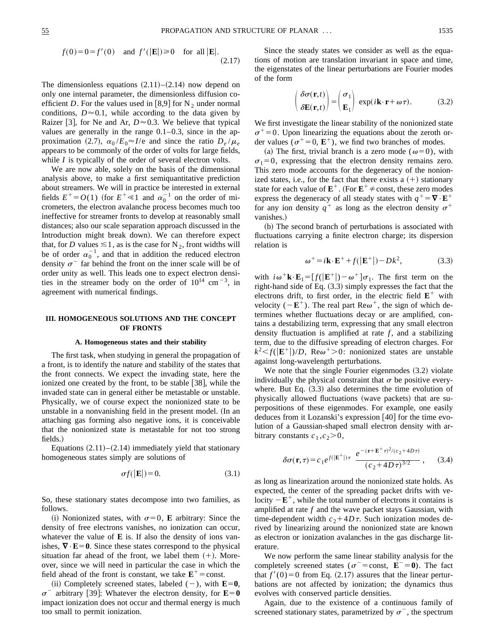$$
f(0)=0=f'(0)
$$
 and  $f'(|E|) \ge 0$  for all  $|E|$ . (2.17)

The dimensionless equations  $(2.11)–(2.14)$  now depend on only one internal parameter, the dimensionless diffusion coefficient *D*. For the values used in [8,9] for N<sub>2</sub> under normal conditions,  $D \approx 0.1$ , while according to the data given by Raizer [3], for Ne and Ar,  $D \approx 0.3$ . We believe that typical values are generally in the range 0.1–0.3, since in the approximation (2.7),  $\alpha_0 / E_0 \approx I/e$  and since the ratio  $D_e / \mu_e$ appears to be commonly of the order of volts for large fields, while *I* is typically of the order of several electron volts.

We are now able, solely on the basis of the dimensional analysis above, to make a first semiquantitative prediction about streamers. We will in practice be interested in external fields  $E^+$  =  $O(1)$  (for  $E^+$   $\le$  1 and  $\alpha_0^{-1}$  on the order of micrometers, the electron avalanche process becomes much too ineffective for streamer fronts to develop at reasonably small distances; also our scale separation approach discussed in the Introduction might break down). We can therefore expect that, for *D* values  $\leq 1$ , as is the case for N<sub>2</sub>, front widths will be of order  $\alpha_0^{-1}$ , and that in addition the reduced electron density  $\sigma^-$  far behind the front on the inner scale will be of order unity as well. This leads one to expect electron densities in the streamer body on the order of  $10^{14}$  cm<sup>-3</sup>, in agreement with numerical findings.

# **III. HOMOGENEOUS SOLUTIONS AND THE CONCEPT OF FRONTS**

### **A. Homogeneous states and their stability**

The first task, when studying in general the propagation of a front, is to identify the nature and stability of the states that the front connects. We expect the invading state, here the ionized one created by the front, to be stable  $[38]$ , while the invaded state can in general either be metastable or unstable. Physically, we of course expect the nonionized state to be unstable in a nonvanishing field in the present model. (In an attaching gas forming also negative ions, it is conceivable that the nonionized state is metastable for not too strong fields.)

Equations  $(2.11)$ – $(2.14)$  immediately yield that stationary homogeneous states simply are solutions of

$$
\sigma f(|\mathbf{E}|) = 0. \tag{3.1}
$$

So, these stationary states decompose into two families, as follows.

(i) Nonionized states, with  $\sigma=0$ , **E** arbitrary: Since the density of free electrons vanishes, no ionization can occur, whatever the value of **E** is. If also the density of ions vanishes,  $\nabla \cdot \mathbf{E} = \mathbf{0}$ . Since these states correspond to the physical situation far ahead of the front, we label them  $(+)$ . Moreover, since we will need in particular the case in which the field ahead of the front is constant, we take  $E^+$ = const.

(ii) Completely screened states, labeled  $(-)$ , with **E=0**,  $\sigma^-$  arbitrary [39]: Whatever the electron density, for **E**=0 impact ionization does not occur and thermal energy is much too small to permit ionization.

Since the steady states we consider as well as the equations of motion are translation invariant in space and time, the eigenstates of the linear perturbations are Fourier modes of the form

$$
\begin{pmatrix} \delta \sigma(\mathbf{r},t) \\ \delta \mathbf{E}(\mathbf{r},t) \end{pmatrix} = \begin{pmatrix} \sigma_1 \\ \mathbf{E}_1 \end{pmatrix} \exp(i\mathbf{k}\cdot\mathbf{r} + \omega\tau). \tag{3.2}
$$

We first investigate the linear stability of the nonionized state  $\sigma^+$ =0. Upon linearizing the equations about the zeroth order values ( $\sigma^+$ =0, **E**<sup>+</sup>), we find two branches of modes.

(a) The first, trivial branch is a zero mode ( $\omega=0$ ), with  $\sigma_1=0$ , expressing that the electron density remains zero. This zero mode accounts for the degeneracy of the nonionized states, i.e., for the fact that there exists a  $(+)$  stationary state for each value of  $\mathbf{E}^+$ . (For  $\mathbf{E}^+ \neq \text{const}$ , these zero modes express the degeneracy of all steady states with  $q^+ = \nabla \cdot \mathbf{E}^+$ for any ion density  $q^+$  as long as the electron density  $\sigma^+$ vanishes.)

(b) The second branch of perturbations is associated with fluctuations carrying a finite electron charge; its dispersion relation is

$$
\boldsymbol{\omega}^+ = i\mathbf{k} \cdot \mathbf{E}^+ + f(|\mathbf{E}^+|) - Dk^2,\tag{3.3}
$$

with  $i\omega^+ \mathbf{k} \cdot \mathbf{E}_1 = [f(|\mathbf{E}^+|) - \omega^+] \sigma_1$ . The first term on the right-hand side of Eq.  $(3.3)$  simply expresses the fact that the electrons drift, to first order, in the electric field  $E^+$  with velocity  $(-E^+)$ . The real part  $\text{Re}\omega^+$ , the sign of which determines whether fluctuations decay or are amplified, contains a destabilizing term, expressing that any small electron density fluctuation is amplified at rate  $f$ , and a stabilizing term, due to the diffusive spreading of electron charges. For  $k^2 \le f(|\mathbf{E}^+|)/D$ , Re $\omega^+ > 0$ : nonionized states are unstable against long-wavelength perturbations.

We note that the single Fourier eigenmodes  $(3.2)$  violate individually the physical constraint that  $\sigma$  be positive everywhere. But Eq.  $(3.3)$  also determines the time evolution of physically allowed fluctuations (wave packets) that are superpositions of these eigenmodes. For example, one easily deduces from it Lozanski's expression  $[40]$  for the time evolution of a Gaussian-shaped small electron density with arbitrary constants  $c_1$ ,  $c_2$ >0,

$$
\delta\sigma(\mathbf{r},\tau) = c_1 e^{f(|\mathbf{E}^+|)\tau} \frac{e^{-(\mathbf{r}+\mathbf{E}^+\tau)^2/(c_2+4D\tau)}}{(c_2+4D\tau)^{3/2}},\qquad(3.4)
$$

as long as linearization around the nonionized state holds. As expected, the center of the spreading packet drifts with velocity  $-\mathbf{E}^+$ , while the total number of electrons it contains is amplified at rate *f* and the wave packet stays Gaussian, with time-dependent width  $c_2+4D\tau$ . Such ionization modes derived by linearizing around the nonionized state are known as electron or ionization avalanches in the gas discharge literature.

We now perform the same linear stability analysis for the completely screened states ( $\sigma$ <sup>-</sup> = const, **E**<sup>-</sup> = **0**). The fact that  $f'(0)=0$  from Eq.  $(2.17)$  assures that the linear perturbations are not affected by ionization; the dynamics thus evolves with conserved particle densities.

Again, due to the existence of a continuous family of screened stationary states, parametrized by  $\sigma^-$ , the spectrum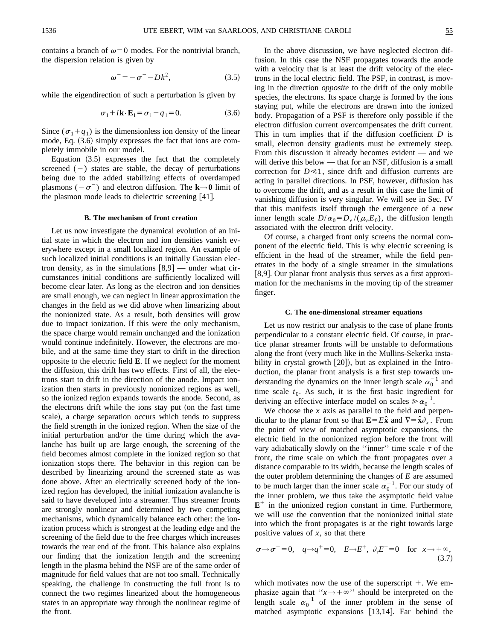contains a branch of  $\omega=0$  modes. For the nontrivial branch, the dispersion relation is given by

$$
\omega^- = -\sigma^- - Dk^2,\tag{3.5}
$$

while the eigendirection of such a perturbation is given by

$$
\sigma_1 + i\mathbf{k} \cdot \mathbf{E}_1 = \sigma_1 + q_1 = 0. \tag{3.6}
$$

Since  $(\sigma_1 + q_1)$  is the dimensionless ion density of the linear mode, Eq.  $(3.6)$  simply expresses the fact that ions are completely immobile in our model.

Equation  $(3.5)$  expresses the fact that the completely screened  $(-)$  states are stable, the decay of perturbations being due to the added stabilizing effects of overdamped plasmons  $(-\sigma^{-})$  and electron diffusion. The **k** $\rightarrow$ **0** limit of the plasmon mode leads to dielectric screening  $[41]$ .

# **B. The mechanism of front creation**

Let us now investigate the dynamical evolution of an initial state in which the electron and ion densities vanish everywhere except in a small localized region. An example of such localized initial conditions is an initially Gaussian electron density, as in the simulations  $[8,9]$  — under what circumstances initial conditions are sufficiently localized will become clear later. As long as the electron and ion densities are small enough, we can neglect in linear approximation the changes in the field as we did above when linearizing about the nonionized state. As a result, both densities will grow due to impact ionization. If this were the only mechanism, the space charge would remain unchanged and the ionization would continue indefinitely. However, the electrons are mobile, and at the same time they start to drift in the direction opposite to the electric field **E**. If we neglect for the moment the diffusion, this drift has two effects. First of all, the electrons start to drift in the direction of the anode. Impact ionization then starts in previously nonionized regions as well, so the ionized region expands towards the anode. Second, as the electrons drift while the ions stay put (on the fast time scale), a charge separation occurs which tends to suppress the field strength in the ionized region. When the size of the initial perturbation and/or the time during which the avalanche has built up are large enough, the screening of the field becomes almost complete in the ionized region so that ionization stops there. The behavior in this region can be described by linearizing around the screened state as was done above. After an electrically screened body of the ionized region has developed, the initial ionization avalanche is said to have developed into a streamer. Thus streamer fronts are strongly nonlinear and determined by two competing mechanisms, which dynamically balance each other: the ionization process which is strongest at the leading edge and the screening of the field due to the free charges which increases towards the rear end of the front. This balance also explains our finding that the ionization length and the screening length in the plasma behind the NSF are of the same order of magnitude for field values that are not too small. Technically speaking, the challenge in constructing the full front is to connect the two regimes linearized about the homogeneous states in an appropriate way through the nonlinear regime of the front.

In the above discussion, we have neglected electron diffusion. In this case the NSF propagates towards the anode with a velocity that is at least the drift velocity of the electrons in the local electric field. The PSF, in contrast, is moving in the direction *opposite* to the drift of the only mobile species, the electrons. Its space charge is formed by the ions staying put, while the electrons are drawn into the ionized body. Propagation of a PSF is therefore only possible if the electron diffusion current overcompensates the drift current. This in turn implies that if the diffusion coefficient *D* is small, electron density gradients must be extremely steep. From this discussion it already becomes evident — and we will derive this below — that for an NSF, diffusion is a small correction for  $D \ll 1$ , since drift and diffusion currents are acting in parallel directions. In PSF, however, diffusion has to overcome the drift, and as a result in this case the limit of vanishing diffusion is very singular. We will see in Sec. IV that this manifests itself through the emergence of a new inner length scale  $D/\alpha_0 = D_e/(\mu_e E_0)$ , the diffusion length associated with the electron drift velocity.

Of course, a charged front only screens the normal component of the electric field. This is why electric screening is efficient in the head of the streamer, while the field penetrates in the body of a single streamer in the simulations [8,9]. Our planar front analysis thus serves as a first approximation for the mechanisms in the moving tip of the streamer finger.

### **C. The one-dimensional streamer equations**

Let us now restrict our analysis to the case of plane fronts perpendicular to a constant electric field. Of course, in practice planar streamer fronts will be unstable to deformations along the front (very much like in the Mullins-Sekerka instability in crystal growth  $[20]$ , but as explained in the Introduction, the planar front analysis is a first step towards understanding the dynamics on the inner length scale  $\alpha_0^{-1}$  and time scale  $t_0$ . As such, it is the first basic ingredient for deriving an effective interface model on scales  $\ge \alpha_0^{-1}$ .

We choose the *x* axis as parallel to the field and perpendicular to the planar front so that  $\mathbf{E} = E\hat{\mathbf{x}}$  and  $\nabla = \hat{\mathbf{x}}\partial_{x}$ . From the point of view of matched asymptotic expansions, the electric field in the nonionized region before the front will vary adiabatically slowly on the "inner" time scale  $\tau$  of the front, the time scale on which the front propagates over a distance comparable to its width, because the length scales of the outer problem determining the changes of *E* are assumed to be much larger than the inner scale  $\alpha_0^{-1}$ . For our study of the inner problem, we thus take the asymptotic field value  $E^+$  in the unionized region constant in time. Furthermore, we will use the convention that the nonionized initial state into which the front propagates is at the right towards large positive values of *x*, so that there

$$
\sigma \rightarrow \sigma^+ = 0, \quad q \rightarrow q^+ = 0, \quad E \rightarrow E^+, \quad \partial_\tau E^+ = 0 \quad \text{for} \quad x \rightarrow +\infty,
$$
\n(3.7)

which motivates now the use of the superscript  $+$ . We emphasize again that " $x \rightarrow +\infty$ " should be interpreted on the length scale  $\alpha_0^{-1}$  of the inner problem in the sense of matched asymptotic expansions  $[13,14]$ . Far behind the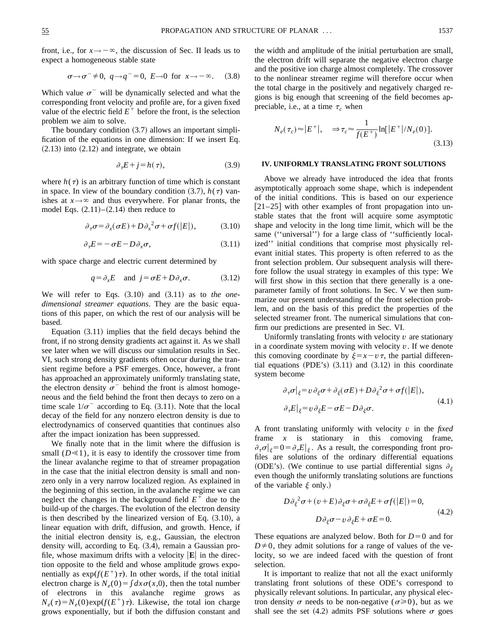

$$
\sigma \rightarrow \sigma^- \neq 0, \ q \rightarrow q^- = 0, \ E \rightarrow 0 \ \text{for} \ x \rightarrow -\infty. \tag{3.8}
$$

Which value  $\sigma^-$  will be dynamically selected and what the corresponding front velocity and profile are, for a given fixed value of the electric field  $E^+$  before the front, is the selection problem we aim to solve.

The boundary condition  $(3.7)$  allows an important simplification of the equations in one dimension: If we insert Eq.  $(2.13)$  into  $(2.12)$  and integrate, we obtain

$$
\partial_{\tau} E + j = h(\tau),\tag{3.9}
$$

where  $h(\tau)$  is an arbitrary function of time which is constant in space. In view of the boundary condition  $(3.7)$ ,  $h(\tau)$  vanishes at  $x \rightarrow \infty$  and thus everywhere. For planar fronts, the model Eqs.  $(2.11)$ – $(2.14)$  then reduce to

$$
\partial_{\tau}\sigma = \partial_{x}(\sigma E) + D\partial_{x}^{2}\sigma + \sigma f(|E|), \tag{3.10}
$$

$$
\partial_{\tau} E = -\sigma E - D \partial_x \sigma,\tag{3.11}
$$

with space charge and electric current determined by

$$
q = \partial_x E \quad \text{and} \quad j = \sigma E + D \partial_x \sigma. \tag{3.12}
$$

We will refer to Eqs.  $(3.10)$  and  $(3.11)$  as to *the onedimensional streamer equations*. They are the basic equations of this paper, on which the rest of our analysis will be based.

Equation  $(3.11)$  implies that the field decays behind the front, if no strong density gradients act against it. As we shall see later when we will discuss our simulation results in Sec. VI, such strong density gradients often occur during the transient regime before a PSF emerges. Once, however, a front has approached an approximately uniformly translating state, the electron density  $\sigma^-$  behind the front is almost homogeneous and the field behind the front then decays to zero on a time scale  $1/\sigma^-$  according to Eq. (3.11). Note that the local decay of the field for any nonzero electron density is due to electrodynamics of conserved quantities that continues also after the impact ionization has been suppressed.

We finally note that in the limit where the diffusion is small  $(D \le 1)$ , it is easy to identify the crossover time from the linear avalanche regime to that of streamer propagation in the case that the initial electron density is small and nonzero only in a very narrow localized region. As explained in the beginning of this section, in the avalanche regime we can neglect the changes in the background field  $E^+$  due to the build-up of the charges. The evolution of the electron density is then described by the linearized version of Eq.  $(3.10)$ , a linear equation with drift, diffusion, and growth. Hence, if the initial electron density is, e.g., Gaussian, the electron density will, according to Eq.  $(3.4)$ , remain a Gaussian profile, whose maximum drifts with a velocity  $|\mathbf{E}|$  in the direction opposite to the field and whose amplitude grows exponentially as  $exp(f(E^+) \tau)$ . In other words, if the total initial electron charge is  $N_e(0) = \int dx \sigma(x,0)$ , then the total number of electrons in this avalanche regime grows as  $N_e(\tau) = N_e(0) \exp(f(E^+) \tau)$ . Likewise, the total ion charge grows exponentially, but if both the diffusion constant and the width and amplitude of the initial perturbation are small, the electron drift will separate the negative electron charge and the positive ion charge almost completely. The crossover to the nonlinear streamer regime will therefore occur when the total charge in the positively and negatively charged regions is big enough that screening of the field becomes appreciable, i.e., at a time  $\tau_c$  when

$$
N_e(\tau_c) \approx |E^+|, \quad \Rightarrow \tau_c \approx \frac{1}{f(E^+)} \ln[|E^+|/N_e(0)]. \tag{3.13}
$$

### **IV. UNIFORMLY TRANSLATING FRONT SOLUTIONS**

Above we already have introduced the idea that fronts asymptotically approach some shape, which is independent of the initial conditions. This is based on our experience  $[21–25]$  with other examples of front propagation into unstable states that the front will acquire some asymptotic shape and velocity in the long time limit, which will be the same ("universal") for a large class of "sufficiently localized'' initial conditions that comprise most physically relevant initial states. This property is often referred to as the front selection problem. Our subsequent analysis will therefore follow the usual strategy in examples of this type: We will first show in this section that there generally is a oneparameter family of front solutions. In Sec. V we then summarize our present understanding of the front selection problem, and on the basis of this predict the properties of the selected streamer front. The numerical simulations that confirm our predictions are presented in Sec. VI.

Uniformly translating fronts with velocity *v* are stationary in a coordinate system moving with velocity *v*. If we denote this comoving coordinate by  $\xi = x - v \tau$ , the partial differential equations  $(PDE's)$   $(3.11)$  and  $(3.12)$  in this coordinate system become

$$
\partial_{\tau}\sigma|_{\xi} = v \partial_{\xi}\sigma + \partial_{\xi}(\sigma E) + D \partial_{\xi}^{2}\sigma + \sigma f(|E|),
$$
  
\n
$$
\partial_{\tau}E|_{\xi} = v \partial_{\xi}E - \sigma E - D \partial_{\xi}\sigma.
$$
\n(4.1)

A front translating uniformly with velocity *v* in the *fixed* frame *x* is stationary in this comoving frame,  $\partial_{\tau}\sigma|_{\varepsilon}=0=\partial_{\tau}E|_{\varepsilon}$ . As a result, the corresponding front profiles are solutions of the ordinary differential equations (ODE's). (We continue to use partial differential signs  $\partial_{\xi}$ even though the uniformly translating solutions are functions of the variable  $\xi$  only.)

$$
D\partial_{\xi}^{2}\sigma + (v+E)\partial_{\xi}\sigma + \sigma\partial_{\xi}E + \sigma f(|E|) = 0,
$$
  

$$
D\partial_{\xi}\sigma - v\partial_{\xi}E + \sigma E = 0.
$$
 (4.2)

These equations are analyzed below. Both for  $D=0$  and for  $D\neq0$ , they admit solutions for a range of values of the velocity, so we are indeed faced with the question of front selection.

It is important to realize that not all the exact uniformly translating front solutions of these ODE's correspond to physically relevant solutions. In particular, any physical electron density  $\sigma$  needs to be non-negative ( $\sigma \ge 0$ ), but as we shall see the set (4.2) admits PSF solutions where  $\sigma$  goes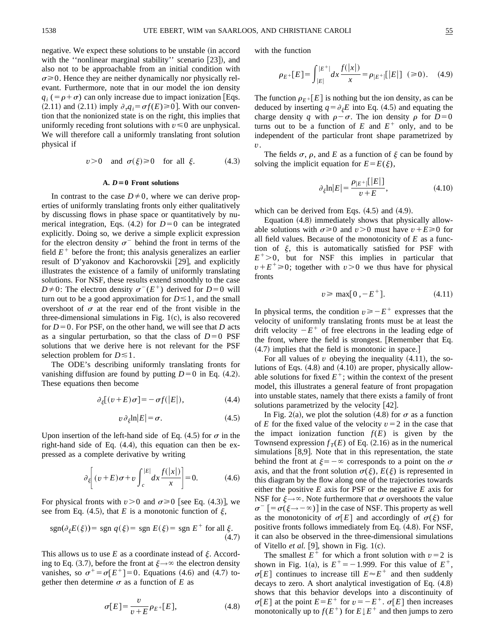negative. We expect these solutions to be unstable (in accord with the "nonlinear marginal stability" scenario [23]), and also not to be approachable from an initial condition with  $\sigma \geq 0$ . Hence they are neither dynamically nor physically relevant. Furthermore, note that in our model the ion density  $q_i$  (=  $\rho$  +  $\sigma$ ) can only increase due to impact ionization [Eqs.  $(2.11)$  and  $(2.11)$  imply  $\partial_{\tau}q_{i} = \sigma f(E) \ge 0$ . With our convention that the nonionized state is on the right, this implies that uniformly receding front solutions with  $v \leq 0$  are unphysical. We will therefore call a uniformly translating front solution physical if

$$
v > 0 \quad \text{and} \quad \sigma(\xi) \ge 0 \quad \text{for all } \xi. \tag{4.3}
$$

### $A$ .  $D=0$  Front solutions

In contrast to the case  $D \neq 0$ , where we can derive properties of uniformly translating fronts only either qualitatively by discussing flows in phase space or quantitatively by numerical integration, Eqs.  $(4.2)$  for  $D=0$  can be integrated explicitly. Doing so, we derive a simple explicit expression for the electron density  $\sigma^-$  behind the front in terms of the field  $E^+$  before the front; this analysis generalizes an earlier result of D'yakonov and Kachorovskii [29], and explicitly illustrates the existence of a family of uniformly translating solutions. For NSF, these results extend smoothly to the case *D* $\neq$ 0: The electron density  $\sigma$ <sup>-</sup>( $E$ <sup>+</sup>) derived for *D*=0 will turn out to be a good approximation for  $D \le 1$ , and the small overshoot of  $\sigma$  at the rear end of the front visible in the three-dimensional simulations in Fig.  $1(c)$ , is also recovered for  $D=0$ . For PSF, on the other hand, we will see that *D* acts as a singular perturbation, so that the class of  $D=0$  PSF solutions that we derive here is not relevant for the PSF selection problem for  $D \leq 1$ .

The ODE's describing uniformly translating fronts for vanishing diffusion are found by putting  $D=0$  in Eq.  $(4.2)$ . These equations then become

$$
\partial_{\xi}[(v+E)\sigma] = -\sigma f(|E|), \tag{4.4}
$$

$$
v \partial_{\xi} \ln |E| = \sigma. \tag{4.5}
$$

Upon insertion of the left-hand side of Eq.  $(4.5)$  for  $\sigma$  in the right-hand side of Eq.  $(4.4)$ , this equation can then be expressed as a complete derivative by writing

$$
\partial_{\xi} \left[ (v+E)\sigma + v \int_{c}^{|E|} dx \frac{f(|x|)}{x} \right] = 0. \tag{4.6}
$$

For physical fronts with  $v>0$  and  $\sigma \ge 0$  [see Eq. (4.3)], we see from Eq.  $(4.5)$ , that *E* is a monotonic function of  $\xi$ ,

$$
sgn(\partial_{\xi}E(\xi)) = sgn q(\xi) = sgn E(\xi) = sgn E^{+} \text{ for all } \xi.
$$
\n(4.7)

This allows us to use  $E$  as a coordinate instead of  $\xi$ . According to Eq. (3.7), before the front at  $\xi \rightarrow \infty$  the electron density vanishes, so  $\sigma^+=\sigma[E^+] = 0$ . Equations (4.6) and (4.7) together then determine  $\sigma$  as a function of *E* as

$$
\sigma[E] = \frac{v}{v+E} \rho_E + [E],\tag{4.8}
$$

with the function

$$
\rho_E + [E] = \int_{|E|}^{|E^+|} dx \frac{f(|x|)}{x} = \rho_{|E^+|}[E|] \quad (\ge 0). \quad (4.9)
$$

The function  $\rho_E + [E]$  is nothing but the ion density, as can be deduced by inserting  $q = \partial_{\xi}E$  into Eq. (4.5) and equating the charge density *q* with  $\rho-\sigma$ . The ion density  $\rho$  for  $D=0$ turns out to be a function of  $E$  and  $E^+$  only, and to be independent of the particular front shape parametrized by *v*.

The fields  $\sigma$ ,  $\rho$ , and *E* as a function of  $\xi$  can be found by solving the implicit equation for  $E = E(\xi)$ ,

$$
\partial_{\xi} \ln |E| = \frac{\rho_{|E^+|} [E|]}{v + E},
$$
\n(4.10)

which can be derived from Eqs.  $(4.5)$  and  $(4.9)$ .

Equation  $(4.8)$  immediately shows that physically allowable solutions with  $\sigma \geq 0$  and  $\nu > 0$  must have  $\nu + E \geq 0$  for all field values. Because of the monotonicity of *E* as a function of  $\xi$ , this is automatically satisfied for PSF with  $E^+$   $>$  0, but for NSF this implies in particular that  $v + E^+ \ge 0$ ; together with  $v > 0$  we thus have for physical fronts

$$
v \ge \max[0, -E^+].\tag{4.11}
$$

In physical terms, the condition  $v \geq -E^+$  expresses that the velocity of uniformly translating fronts must be at least the drift velocity  $-E^+$  of free electrons in the leading edge of the front, where the field is strongest. [Remember that Eq.  $(4.7)$  implies that the field is monotonic in space.

For all values of  $\nu$  obeying the inequality  $(4.11)$ , the solutions of Eqs.  $(4.8)$  and  $(4.10)$  are proper, physically allowable solutions for fixed  $E^+$ ; within the context of the present model, this illustrates a general feature of front propagation into unstable states, namely that there exists a family of front solutions parametrized by the velocity  $[42]$ .

In Fig. 2(a), we plot the solution (4.8) for  $\sigma$  as a function of *E* for the fixed value of the velocity  $v = 2$  in the case that the impact ionization function  $f(E)$  is given by the Townsend expression  $f_T(E)$  of Eq. (2.16) as in the numerical simulations  $[8,9]$ . Note that in this representation, the state behind the front at  $\xi=-\infty$  corresponds to a point on the  $\sigma$ axis, and that the front solution  $\sigma(\xi)$ ,  $E(\xi)$  is represented in this diagram by the flow along one of the trajectories towards either the positive *E* axis for PSF or the negative *E* axis for NSF for  $\xi \rightarrow \infty$ . Note furthermore that  $\sigma$  overshoots the value  $\sigma^{-}$   $\lceil = \sigma(\xi \rightarrow -\infty) \rceil$  in the case of NSF. This property as well as the monotonicity of  $\sigma[E]$  and accordingly of  $\sigma(\xi)$  for positive fronts follows immediately from Eq.  $(4.8)$ . For NSF, it can also be observed in the three-dimensional simulations of Vitello *et al.* [9], shown in Fig. 1(c).

The smallest  $E^+$  for which a front solution with  $v=2$  is shown in Fig. 1(a), is  $E^+ = -1.999$ . For this value of  $E^+$ ,  $\sigma[E]$  continues to increase till  $E \approx E^+$  and then suddenly decays to zero. A short analytical investigation of Eq.  $(4.8)$ shows that this behavior develops into a discontinuity of  $\sigma[E]$  at the point  $E = E^{+}$  for  $v = -E^{+}$ .  $\sigma[E]$  then increases monotonically up to  $f(E^+)$  for  $E \downarrow E^+$  and then jumps to zero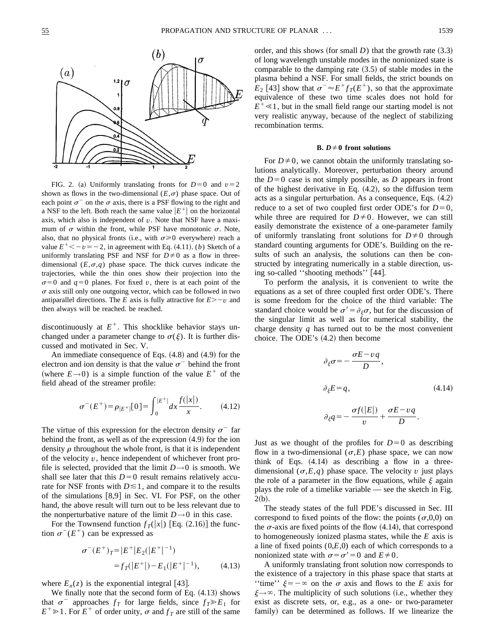

FIG. 2. (a) Uniformly translating fronts for  $D=0$  and  $v=2$ shown as flows in the two-dimensional  $(E,\sigma)$  phase space. Out of each point  $\sigma^-$  on the  $\sigma$  axis, there is a PSF flowing to the right and a NSF to the left. Both reach the same value  $|E^+|$  on the horizontal axis, which also is independent of *v*. Note that NSF have a maximum of  $\sigma$  within the front, while PSF have monotonic  $\sigma$ . Note, also, that no physical fronts (i.e., with  $\sigma \ge 0$  everywhere) reach a value *E*1,2*v*522, in agreement with Eq. ~4.11!. (*b*) Sketch of a uniformly translating PSF and NSF for  $D \neq 0$  as a flow in threedimensional  $(E, \sigma, q)$  phase space. The thick curves indicate the trajectories, while the thin ones show their projection into the  $\sigma=0$  and  $q=0$  planes. For fixed *v*, there is at each point of the  $\sigma$  axis still only one outgoing vector, which can be followed in two antiparallel directions. The *E* axis is fully attractive for  $E$ *>-v* and then always will be reached. be reached.

discontinuously at  $E^+$ . This shocklike behavior stays unchanged under a parameter change to  $\sigma(\xi)$ . It is further discussed and motivated in Sec. V.

An immediate consequence of Eqs.  $(4.8)$  and  $(4.9)$  for the electron and ion density is that the value  $\sigma^-$  behind the front (where  $E \rightarrow 0$ ) is a simple function of the value  $E^+$  of the field ahead of the streamer profile:

$$
\sigma^{-}(E^{+}) = \rho_{|E^{+}|}[0] = \int_{0}^{|E^{+}|} dx \frac{f(|x|)}{x}.
$$
 (4.12)

The virtue of this expression for the electron density  $\sigma^-$  far behind the front, as well as of the expression  $(4.9)$  for the ion density  $\rho$  throughout the whole front, is that it is independent of the velocity *v*, hence independent of whichever front profile is selected, provided that the limit  $D\rightarrow 0$  is smooth. We shall see later that this  $D=0$  result remains relatively accurate for NSF fronts with  $D \le 1$ , and compare it to the results of the simulations  $[8,9]$  in Sec. VI. For PSF, on the other hand, the above result will turn out to be less relevant due to the nonperturbative nature of the limit  $D\rightarrow 0$  in this case.

For the Townsend function  $f_T(|x|)$  [Eq. (2.16)] the function  $\sigma^-(E^+)$  can be expressed as

$$
\sigma^{-}(E^{+})_{T} = |E^{+}|E_{2}(|E^{+}|^{-1})
$$
  
=  $f_{T}(|E^{+}|) - E_{1}(|E^{+}|^{-1}),$  (4.13)

where  $E_n(z)$  is the exponential integral [43].

We finally note that the second form of Eq.  $(4.13)$  shows that  $\sigma^-$  approaches  $f_T$  for large fields, since  $f_T \gg E_1$  for  $E^+ \ge 1$ . For  $E^+$  of order unity,  $\sigma$  and  $f_T$  are still of the same order, and this shows (for small  $D$ ) that the growth rate  $(3.3)$ of long wavelength unstable modes in the nonionized state is comparable to the damping rate  $(3.5)$  of stable modes in the plasma behind a NSF. For small fields, the strict bounds on  $E_2$  [43] show that  $\sigma^- \approx E^+ f_T(E^+)$ , so that the approximate equivalence of these two time scales does not hold for  $E^+\ll 1$ , but in the small field range our starting model is not very realistic anyway, because of the neglect of stabilizing recombination terms.

# **B.**  $D \neq 0$  front solutions

For  $D \neq 0$ , we cannot obtain the uniformly translating solutions analytically. Moreover, perturbation theory around the  $D=0$  case is not simply possible, as *D* appears in front of the highest derivative in Eq.  $(4.2)$ , so the diffusion term acts as a singular perturbation. As a consequence, Eqs.  $(4.2)$ reduce to a set of two coupled first order ODE's for  $D=0$ , while three are required for  $D \neq 0$ . However, we can still easily demonstrate the existence of a one-parameter family of uniformly translating front solutions for  $D \neq 0$  through standard counting arguments for ODE's. Building on the results of such an analysis, the solutions can then be constructed by integrating numerically in a stable direction, using so-called "shooting methods" [44].

To perform the analysis, it is convenient to write the equations as a set of three coupled first order ODE's. There is some freedom for the choice of the third variable: The standard choice would be  $\sigma' = \partial_{\xi} \sigma$ , but for the discussion of the singular limit as well as for numerical stability, the charge density *q* has turned out to be the most convenient choice. The ODE's  $(4.2)$  then become

$$
\partial_{\xi}\sigma = -\frac{\sigma E - vq}{D},
$$
\n
$$
\partial_{\xi}E = q,
$$
\n
$$
\partial_{\xi}q = -\frac{\sigma f(|E|)}{v} + \frac{\sigma E - vq}{D}.
$$
\n(4.14)

Just as we thought of the profiles for  $D=0$  as describing flow in a two-dimensional  $(\sigma, E)$  phase space, we can now think of Eqs.  $(4.14)$  as describing a flow in a threedimensional  $(\sigma, E, q)$  phase space. The velocity *v* just plays the role of a parameter in the flow equations, while  $\xi$  again plays the role of a timelike variable — see the sketch in Fig.  $2(b).$ 

The steady states of the full PDE's discussed in Sec. III correspond to fixed points of the flow: the points  $(\sigma,0,0)$  on the  $\sigma$ -axis are fixed points of the flow (4.14), that correspond to homogeneously ionized plasma states, while the *E* axis is a line of fixed points  $(0,E,0)$  each of which corresponds to a nonionized state with  $\sigma = \sigma' = 0$  and  $E \neq 0$ .

A uniformly translating front solution now corresponds to the existence of a trajectory in this phase space that starts at ''time''  $\xi = -\infty$  on the  $\sigma$  axis and flows to the *E* axis for  $\xi \rightarrow \infty$ . The multiplicity of such solutions (i.e., whether they exist as discrete sets, or, e.g., as a one- or two-parameter family) can be determined as follows. If we linearize the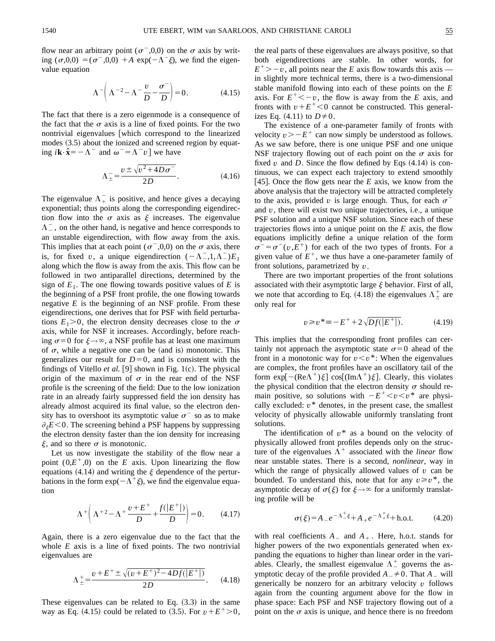flow near an arbitrary point ( $\sigma$ <sup>-</sup>,0,0) on the  $\sigma$  axis by writing  $(\sigma,0,0) = (\sigma^-,0,0) + A \exp(-\Lambda^-\xi)$ , we find the eigenvalue equation

$$
\Lambda^{-}\left(\Lambda^{-2}-\Lambda^{-}\frac{\upsilon}{D}-\frac{\sigma^{-}}{D}\right)=0.\tag{4.15}
$$

The fact that there is a zero eigenmode is a consequence of the fact that the  $\sigma$  axis is a line of fixed points. For the two nontrivial eigenvalues [which correspond to the linearized modes  $(3.5)$  about the ionized and screened region by equating  $i\mathbf{k} \cdot \hat{\mathbf{x}} = -\Lambda^{-}$  and  $\omega^{-} = \Lambda^{-} v$  we have

$$
\Lambda_{\pm}^{-} = \frac{v \pm \sqrt{v^2 + 4D\sigma^{-}}}{2D}.
$$
 (4.16)

The eigenvalue  $\Lambda_{+}^{-}$  is positive, and hence gives a decaying exponential; thus points along the corresponding eigendirection flow into the  $\sigma$  axis as  $\xi$  increases. The eigenvalue  $\Lambda_{-}$ , on the other hand, is negative and hence corresponds to an unstable eigendirection, with flow away from the axis. This implies that at each point ( $\sigma$ <sup>-</sup>,0,0) on the  $\sigma$  axis, there is, for fixed *v*, a unique eigendirection  $(-\Lambda_-, 1, \Lambda_-)E_1$ along which the flow is away from the axis. This flow can be followed in two antiparallel directions, determined by the sign of  $E_1$ . The one flowing towards positive values of  $E$  is the beginning of a PSF front profile, the one flowing towards negative *E* is the beginning of an NSF profile. From these eigendirections, one derives that for PSF with field perturbations  $E_1 > 0$ , the electron density decreases close to the  $\sigma$ axis, while for NSF it increases. Accordingly, before reaching  $\sigma=0$  for  $\xi \rightarrow \infty$ , a NSF profile has at least one maximum of  $\sigma$ , while a negative one can be (and is) monotonic. This generalizes our result for  $D=0$ , and is consistent with the findings of Vitello *et al.* [9] shown in Fig. 1(c). The physical origin of the maximum of  $\sigma$  in the rear end of the NSF profile is the screening of the field: Due to the low ionization rate in an already fairly suppressed field the ion density has already almost acquired its final value, so the electron density has to overshoot its asymptotic value  $\sigma^-$  so as to make  $\partial_{\xi}E$  < 0. The screening behind a PSF happens by suppressing the electron density faster than the ion density for increasing  $\xi$ , and so there  $\sigma$  is monotonic.

Let us now investigate the stability of the flow near a point  $(0,E^+,0)$  on the *E* axis. Upon linearizing the flow equations (4.14) and writing the  $\xi$  dependence of the perturbations in the form  $\exp(-\Lambda^+\xi)$ , we find the eigenvalue equation

$$
\Lambda^+\left(\Lambda^{+2}-\Lambda^+\frac{v+E^+}{D}+\frac{f(|E^+|)}{D}\right)=0.\tag{4.17}
$$

Again, there is a zero eigenvalue due to the fact that the whole *E* axis is a line of fixed points. The two nontrivial eigenvalues are

$$
\Lambda_{\pm}^{+} = \frac{v + E^{+} \pm \sqrt{(v + E^{+})^2 - 4Df(|E^{+}|)}}{2D}.
$$
 (4.18)

These eigenvalues can be related to Eq.  $(3.3)$  in the same way as Eq.  $(4.15)$  could be related to  $(3.5)$ . For  $v + E^+ > 0$ , the real parts of these eigenvalues are always positive, so that both eigendirections are stable. In other words, for  $E^+$   $>$  – v, all points near the *E* axis flow towards this axis in slightly more technical terms, there is a two-dimensional stable manifold flowing into each of these points on the *E* axis. For  $E^+$   $\lt$  –  $v$ , the flow is away from the *E* axis, and fronts with  $v + E^+$ <0 cannot be constructed. This generalizes Eq.  $(4.11)$  to  $D \neq 0$ .

The existence of a one-parameter family of fronts with velocity  $v$  >  $-E$ <sup>+</sup> can now simply be understood as follows. As we saw before, there is one unique PSF and one unique NSF trajectory flowing out of each point on the  $\sigma$  axis for fixed  $v$  and  $D$ . Since the flow defined by Eqs  $(4.14)$  is continuous, we can expect each trajectory to extend smoothly [45]. Once the flow gets near the  $E$  axis, we know from the above analysis that the trajectory will be attracted completely to the axis, provided *v* is large enough. Thus, for each  $\sigma$ <sup>-</sup> and *v*, there will exist two unique trajectories, i.e., a unique PSF solution and a unique NSF solution. Since each of these trajectories flows into a unique point on the *E* axis, the flow equations implicitly define a unique relation of the form  $\sigma^- = \sigma^-(v, E^+)$  for each of the two types of fronts. For a given value of  $E^+$ , we thus have a one-parameter family of front solutions, parametrized by *v*.

There are two important properties of the front solutions associated with their asymptotic large  $\xi$  behavior. First of all, we note that according to Eq. (4.18) the eigenvalues  $\Lambda_{\pm}^{+}$  are only real for

$$
v \ge v^* = -E^+ + 2\sqrt{Df(|E^+|)}.
$$
 (4.19)

This implies that the corresponding front profiles can certainly not approach the asymptotic state  $\sigma=0$  ahead of the front in a monotonic way for  $v \leq v^*$ . When the eigenvalues are complex, the front profiles have an oscillatory tail of the form  $\exp[-(Re\Lambda^+) \xi] \cos[(Im\Lambda^+) \xi]$ . Clearly, this violates the physical condition that the electron density  $\sigma$  should remain positive, so solutions with  $-E^+$   $\lt v \lt v^*$  are physically excluded:  $v^*$  denotes, in the present case, the smallest velocity of physically allowable uniformly translating front solutions.

The identification of  $v^*$  as a bound on the velocity of physically allowed front profiles depends only on the structure of the eigenvalues  $\Lambda^+$  associated with the *linear* flow near unstable states. There is a second, *nonlinear*, way in which the range of physically allowed values of  $v$  can be bounded. To understand this, note that for any  $v \ge v^*$ , the asymptotic decay of  $\sigma(\xi)$  for  $\xi \rightarrow \infty$  for a uniformly translating profile will be

$$
\sigma(\xi) = A_{-}e^{-\Lambda_{-}^{+}\xi} + A_{+}e^{-\Lambda_{+}^{+}\xi} + \text{h.o.t.}
$$
 (4.20)

with real coefficients  $A_{-}$  and  $A_{+}$ . Here, h.o.t. stands for higher powers of the two exponentials generated when expanding the equations to higher than linear order in the variables. Clearly, the smallest eigenvalue  $\Lambda^+$  governs the asymptotic decay of the profile provided  $A_{-} \neq 0$ . That  $A_{-}$  will generically be nonzero for an arbitrary velocity *v* follows again from the counting argument above for the flow in phase space: Each PSF and NSF trajectory flowing out of a point on the  $\sigma$  axis is unique, and hence there is no freedom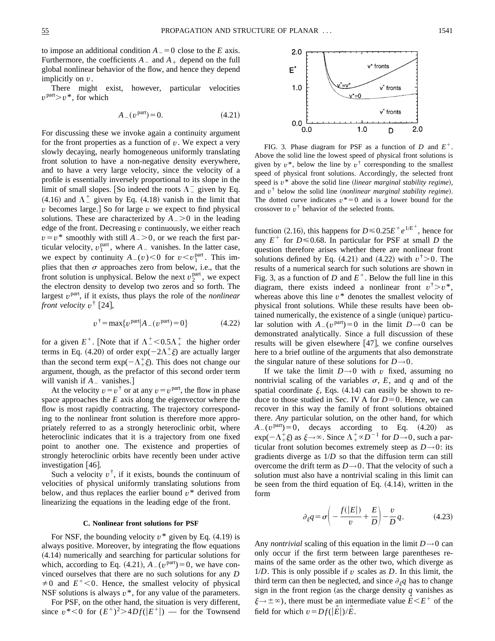to impose an additional condition  $A_{-}=0$  close to the *E* axis. Furthermore, the coefficients  $A_{-}$  and  $A_{+}$  depend on the full global nonlinear behavior of the flow, and hence they depend implicitly on *v*.

There might exist, however, particular velocities  $v^{part}$  $> v^*$ , for which

$$
A_{-}(v^{\text{part}})=0.\t\t(4.21)
$$

For discussing these we invoke again a continuity argument for the front properties as a function of *v*. We expect a very slowly decaying, nearly homogeneous uniformly translating front solution to have a non-negative density everywhere, and to have a very large velocity, since the velocity of a profile is essentially inversely proportional to its slope in the limit of small slopes. [So indeed the roots  $\Lambda_{-}^{-}$  given by Eq. (4.16) and  $\Lambda^+$  given by Eq. (4.18) vanish in the limit that  $v$  becomes large.] So for large  $v$  we expect to find physical solutions. These are characterized by  $A_{-}>0$  in the leading edge of the front. Decreasing *v* continuously, we either reach  $v=v^*$  smoothly with still  $A_0>0$ , or we reach the first particular velocity,  $v_1^{\text{part}}$ , where  $A_{-}$  vanishes. In the latter case, we expect by continuity  $A_-(v) < 0$  for  $v < v_1^{\text{part}}$ . This implies that then  $\sigma$  approaches zero from below, i.e., that the front solution is unphysical. Below the next  $v_2^{\text{part}}$ , we expect the electron density to develop two zeros and so forth. The largest *v*part, if it exists, thus plays the role of the *nonlinear front velocity*  $v^{\dagger}$  [24],

$$
v^{\dagger} = \max\{v^{\text{part}}|A - (v^{\text{part}}) = 0\}
$$
 (4.22)

for a given  $E^+$ . [Note that if  $\Lambda^+_-< 0.5\Lambda^+$ , the higher order terms in Eq. (4.20) of order  $\exp(-2\Lambda^{\pm}\xi)$  are actually larger than the second term  $\exp(-\Lambda_+^+\xi)$ . This does not change our argument, though, as the prefactor of this second order term will vanish if  $A_$  vanishes.]

At the velocity  $v = v^{\dagger}$  or at any  $v = v^{\text{part}}$ , the flow in phase space approaches the *E* axis along the eigenvector where the flow is most rapidly contracting. The trajectory corresponding to the nonlinear front solution is therefore more appropriately referred to as a strongly heteroclinic orbit, where heteroclinic indicates that it is a trajectory from one fixed point to another one. The existence and properties of strongly heteroclinic orbits have recently been under active investigation  $[46]$ .

Such a velocity  $v^{\dagger}$ , if it exists, bounds the continuum of velocities of physical uniformly translating solutions from below, and thus replaces the earlier bound  $v^*$  derived from linearizing the equations in the leading edge of the front.

### **C. Nonlinear front solutions for PSF**

For NSF, the bounding velocity  $v^*$  given by Eq.  $(4.19)$  is always positive. Moreover, by integrating the flow equations  $(4.14)$  numerically and searching for particular solutions for which, according to Eq. (4.21),  $A_-(v^{\text{part}})=0$ , we have convinced ourselves that there are no such solutions for any *D*  $\neq 0$  and  $E^+$ <0. Hence, the smallest velocity of physical NSF solutions is always  $v^*$ , for any value of the parameters.

For PSF, on the other hand, the situation is very different, since  $v^*$  < 0 for  $(E^+)^2$ >4*Df*( $|E^+|$ ) — for the Townsend



FIG. 3. Phase diagram for PSF as a function of  $D$  and  $E^+$ . Above the solid line the lowest speed of physical front solutions is given by  $v^*$ , below the line by  $v^{\dagger}$  corresponding to the smallest speed of physical front solutions. Accordingly, the selected front speed is  $v^*$  above the solid line (linear marginal stability regime), and  $v^{\dagger}$  below the solid line (*nonlinear marginal stability regime*). The dotted curve indicates  $v^* = 0$  and is a lower bound for the crossover to  $v^{\dagger}$  behavior of the selected fronts.

function (2.16), this happens for  $D \le 0.25E^+e^{1/E^+}$ , hence for any  $E^+$  for  $D \le 0.68$ . In particular for PSF at small *D* the question therefore arises whether there are nonlinear front solutions defined by Eq.  $(4.21)$  and  $(4.22)$  with  $v^{\dagger} > 0$ . The results of a numerical search for such solutions are shown in Fig. 3, as a function of *D* and  $E^+$ . Below the full line in this diagram, there exists indeed a nonlinear front  $v^{\dagger} > v^*$ , whereas above this line  $v^*$  denotes the smallest velocity of physical front solutions. While these results have been obtained numerically, the existence of a single (unique) particular solution with  $A_-(v^{\text{part}})=0$  in the limit  $D\rightarrow 0$  can be demonstrated analytically. Since a full discussion of these results will be given elsewhere  $[47]$ , we confine ourselves here to a brief outline of the arguments that also demonstrate the singular nature of these solutions for  $D\rightarrow 0$ .

If we take the limit  $D\rightarrow 0$  with *v* fixed, assuming no nontrivial scaling of the variables  $\sigma$ , *E*, and *q* and of the spatial coordinate  $\xi$ , Eqs. (4.14) can easily be shown to reduce to those studied in Sec. IV A for  $D=0$ . Hence, we can recover in this way the family of front solutions obtained there. *Any* particular solution, on the other hand, for which  $A_-(v^{\text{part}})=0$ , decays according to Eq. (4.20) as  $exp(-\Lambda_{+}^{+}\xi)$  as  $\xi \rightarrow \infty$ . Since  $\Lambda_{+}^{+}\infty D^{-1}$  for  $D \rightarrow 0$ , such a particular front solution becomes extremely steep as  $D\rightarrow 0$ : its gradients diverge as 1/*D* so that the diffusion term can still overcome the drift term as  $D\rightarrow 0$ . That the velocity of such a solution must also have a nontrivial scaling in this limit can be seen from the third equation of Eq.  $(4.14)$ , written in the form

$$
\partial_{\xi}q = \sigma \left( -\frac{f(|E|)}{v} + \frac{E}{D} \right) - \frac{v}{D}q. \tag{4.23}
$$

Any *nontrivial* scaling of this equation in the limit  $D \rightarrow 0$  can only occur if the first term between large parentheses remains of the same order as the other two, which diverge as  $1/D$ . This is only possible if *v* scales as *D*. In this limit, the third term can then be neglected, and since  $\partial_{\xi}q$  has to change sign in the front region (as the charge density  $q$  vanishes as  $\xi \rightarrow \pm \infty$ ), there must be an intermediate value  $\overline{\hat{E}} \leq E^+$  of the field for which  $v = Df(\hat{E})/\hat{E}$ .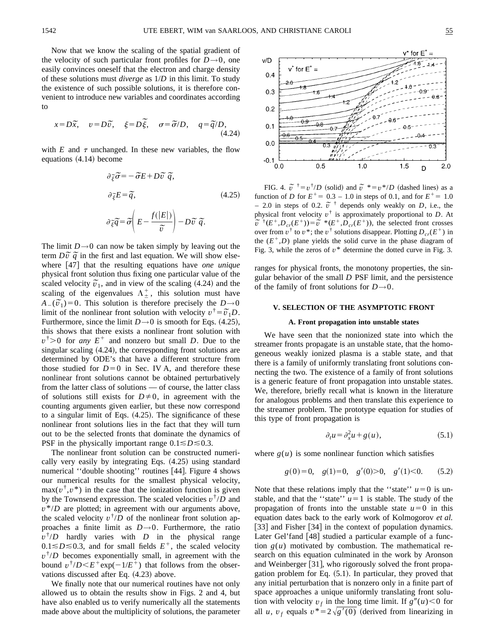Now that we know the scaling of the spatial gradient of the velocity of such particular front profiles for  $D\rightarrow 0$ , one easily convinces oneself that the electron and charge density of these solutions must *diverge* as 1/*D* in this limit. To study the existence of such possible solutions, it is therefore convenient to introduce new variables and coordinates according to

$$
x=D\widetilde{x}
$$
,  $v=D\widetilde{v}$ ,  $\xi=D\widetilde{\xi}$ ,  $\sigma=\widetilde{\sigma}/D$ ,  $q=\widetilde{q}/D$ ,   
(4.24)

with  $E$  and  $\tau$  unchanged. In these new variables, the flow equations  $(4.14)$  become

$$
\partial_{\tilde{\xi}} \tilde{\sigma} = -\tilde{\sigma} E + D \tilde{v} \tilde{q},
$$
  
\n
$$
\partial_{\tilde{\xi}} E = \tilde{q},
$$
  
\n
$$
\partial_{\tilde{\xi}} \tilde{q} = \tilde{\sigma} \left( E - \frac{f(|E|)}{\tilde{v}} \right) - D \tilde{v} \tilde{q}.
$$
\n(4.25)

The limit  $D\rightarrow 0$  can now be taken simply by leaving out the The first  $D \rightarrow 0$  can now be taken simply by leaving out the term  $D\tilde{v}$   $\tilde{q}$  in the first and last equation. We will show elsewhere [47] that the resulting equations have *one unique* physical front solution thus fixing one particular value of the physical front solution thus fixing one particular value of the scaled velocity  $\tilde{v}_1$ , and in view of the scaling (4.24) and the scaling of the eigenvalues  $\Lambda^+_{\pm}$ , this solution must have scaling of the eigenvalues  $A_{\pm}$ , this solution must have  $A_{-}(\tilde{v}_1)=0$ . This solution is therefore precisely the  $D\rightarrow 0$  $A_{-}(v_1) = 0$ . This solution is therefore precisely the  $D \rightarrow 0$ <br>limit of the nonlinear front solution with velocity  $v^{\dagger} = \tilde{v}_1 D$ . Furthermore, since the limit  $D\rightarrow 0$  is smooth for Eqs. (4.25), this shows that there exists a nonlinear front solution with  $v^{\dagger}$ >0 for *any*  $E^+$  and nonzero but small *D*. Due to the singular scaling  $(4.24)$ , the corresponding front solutions are determined by ODE's that have a different structure from those studied for  $D=0$  in Sec. IV A, and therefore these nonlinear front solutions cannot be obtained perturbatively from the latter class of solutions — of course, the latter class of solutions still exists for  $D\neq 0$ , in agreement with the counting arguments given earlier, but these now correspond to a singular limit of Eqs.  $(4.25)$ . The significance of these nonlinear front solutions lies in the fact that they will turn out to be the selected fronts that dominate the dynamics of PSF in the physically important range  $0.1 \leq D \leq 0.3$ .

The nonlinear front solution can be constructed numerically very easily by integrating Eqs.  $(4.25)$  using standard numerical "double shooting" routines [44]. Figure 4 shows our numerical results for the smallest physical velocity,  $max(v^{\dagger}, v^*)$  in the case that the ionization function is given by the Townsend expression. The scaled velocities  $v^{\dagger}/D$  and  $v^*/D$  are plotted; in agreement with our arguments above, the scaled velocity  $v^{\dagger}/D$  of the nonlinear front solution approaches a finite limit as  $D\rightarrow 0$ . Furthermore, the ratio  $v^{\dagger}/D$  hardly varies with *D* in the physical range  $0.1 \le D \le 0.3$ , and for small fields  $E^+$ , the scaled velocity  $v^{\dagger}/D$  becomes exponentially small, in agreement with the bound  $v^{\dagger}/D \leq E^+$ exp( $-1/E^+$ ) that follows from the observations discussed after Eq.  $(4.23)$  above.

We finally note that our numerical routines have not only allowed us to obtain the results show in Figs. 2 and 4, but have also enabled us to verify numerically all the statements made above about the multiplicity of solutions, the parameter



FIG. 4.  $\tilde{v}$ <sup>†</sup> =  $v^{\dagger}/D$  (solid) and  $\tilde{v}$ <sup>\*</sup> =  $v^{\dagger}/D$  (dashed lines) as a function of *D* for  $E^+ = 0.3 - 1.0$  in steps of 0.1, and for  $E^+ = 1.0$  $-$  2.0 in steps of 0.2.  $\tilde{v}^{\dagger}$  depends only weakly on *D*, i.e., the physical front velocity  $v^{\dagger}$  is approximately proportional to *D*. At  $\tilde{\sigma}^* (\mathcal{E}^+, D_{cr}(E^+)) = \tilde{\sigma}^* (\mathcal{E}^+, D_{cr}(E^+))$ , the selected front crosses over from  $v^{\dagger}$  to  $v^*$ ; the  $v^{\dagger}$  solutions disappear. Plotting  $D_{cr}(E^+)$  in the  $(E^+, D)$  plane yields the solid curve in the phase diagram of Fig. 3, while the zeros of  $v^*$  determine the dotted curve in Fig. 3.

ranges for physical fronts, the monotony properties, the singular behavior of the small *D* PSF limit, and the persistence of the family of front solutions for  $D\rightarrow 0$ .

# **V. SELECTION OF THE ASYMPTOTIC FRONT**

#### **A. Front propagation into unstable states**

We have seen that the nonionized state into which the streamer fronts propagate is an unstable state, that the homogeneous weakly ionized plasma is a stable state, and that there is a family of uniformly translating front solutions connecting the two. The existence of a family of front solutions is a generic feature of front propagation into unstable states. We, therefore, briefly recall what is known in the literature for analogous problems and then translate this experience to the streamer problem. The prototype equation for studies of this type of front propagation is

$$
\partial_t u = \partial_x^2 u + g(u),\tag{5.1}
$$

where  $g(u)$  is some nonlinear function which satisfies

$$
g(0)=0
$$
,  $g(1)=0$ ,  $g'(0)>0$ ,  $g'(1)<0$ . (5.2)

Note that these relations imply that the "state"  $u=0$  is unstable, and that the "state"  $u=1$  is stable. The study of the propagation of fronts into the unstable state  $u=0$  in this equation dates back to the early work of Kolmogorov *et al.*  $|33|$  and Fisher  $|34|$  in the context of population dynamics. Later Gel'fand  $[48]$  studied a particular example of a function  $g(u)$  motivated by combustion. The mathematical research on this equation culminated in the work by Aronson and Weinberger [31], who rigorously solved the front propagation problem for Eq.  $(5.1)$ . In particular, they proved that any initial perturbation that is nonzero only in a finite part of space approaches a unique uniformly translating front solution with velocity  $v_f$  in the long time limit. If  $g''(u) < 0$  for all *u*,  $v_f$  equals  $v^* = 2\sqrt{g'(0)}$  (derived from linearizing in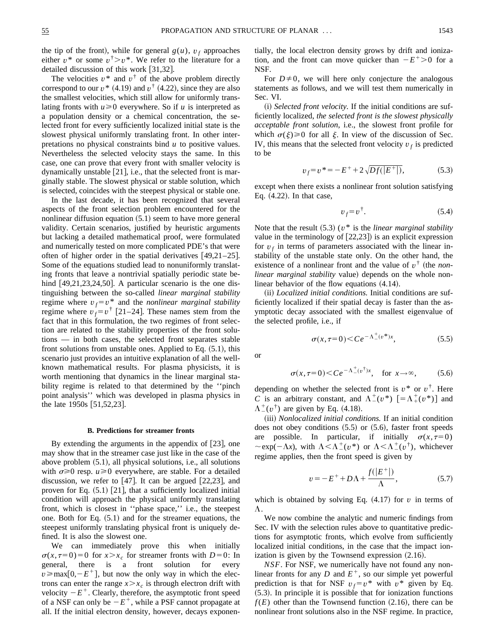the tip of the front), while for general  $g(u)$ ,  $v_f$  approaches either  $v^*$  or some  $v^{\dagger} > v^*$ . We refer to the literature for a detailed discussion of this work  $[31,32]$ .

The velocities  $v^*$  and  $v^{\dagger}$  of the above problem directly correspond to our  $v^*$  (4.19) and  $v^{\dagger}$  (4.22), since they are also the smallest velocities, which still allow for uniformly translating fronts with  $u \ge 0$  everywhere. So if  $u$  is interpreted as a population density or a chemical concentration, the selected front for every sufficiently localized initial state is the slowest physical uniformly translating front. In other interpretations no physical constraints bind *u* to positive values. Nevertheless the selected velocity stays the same. In this case, one can prove that every front with smaller velocity is dynamically unstable  $[21]$ , i.e., that the selected front is marginally stable. The slowest physical or stable solution, which is selected, coincides with the steepest physical or stable one.

In the last decade, it has been recognized that several aspects of the front selection problem encountered for the nonlinear diffusion equation  $(5.1)$  seem to have more general validity. Certain scenarios, justified by heuristic arguments but lacking a detailed mathematical proof, were formulated and numerically tested on more complicated PDE's that were often of higher order in the spatial derivatives  $(49,21-25)$ . Some of the equations studied lead to nonuniformly translating fronts that leave a nontrivial spatially periodic state behind  $[49,21,23,24,50]$ . A particular scenario is the one distinguishing between the so-called *linear marginal stability* regime where  $v_f = v^*$  and the *nonlinear marginal stability* regime where  $v_f = v^{\dagger}$  [21–24]. These names stem from the fact that in this formulation, the two regimes of front selection are related to the stability properties of the front solutions — in both cases, the selected front separates stable front solutions from unstable ones. Applied to Eq.  $(5.1)$ , this scenario just provides an intuitive explanation of all the wellknown mathematical results. For plasma physicists, it is worth mentioning that dynamics in the linear marginal stability regime is related to that determined by the ''pinch point analysis'' which was developed in plasma physics in the late  $1950s$   $[51,52,23]$ .

#### **B. Predictions for streamer fronts**

By extending the arguments in the appendix of  $[23]$ , one may show that in the streamer case just like in the case of the above problem  $(5.1)$ , all physical solutions, i.e., all solutions with  $\sigma \geq 0$  resp.  $u \geq 0$  everywhere, are stable. For a detailed discussion, we refer to  $[47]$ . It can be argued  $[22,23]$ , and proven for Eq.  $(5.1)$  [21], that a sufficiently localized initial condition will approach the physical uniformly translating front, which is closest in ''phase space,'' i.e., the steepest one. Both for Eq.  $(5.1)$  and for the streamer equations, the steepest uniformly translating physical front is uniquely defined. It is also the slowest one.

We can immediately prove this when initially  $\sigma(x, \tau=0) = 0$  for  $x > x_c$  for streamer fronts with *D*=0: In general, there is a front solution for every  $v \ge \max[0,-E^+]$ , but now the only way in which the electrons can enter the range  $x > x_c$  is through electron drift with velocity  $-E^+$ . Clearly, therefore, the asymptotic front speed of a NSF can only be  $-E^+$ , while a PSF cannot propagate at all. If the initial electron density, however, decays exponentially, the local electron density grows by drift and ionization, and the front can move quicker than  $-E^+>0$  for a NSF.

For  $D\neq 0$ , we will here only conjecture the analogous statements as follows, and we will test them numerically in Sec. VI.

(i) Selected front velocity. If the initial conditions are sufficiently localized, *the selected front is the slowest physically acceptable front solution*, i.e., the slowest front profile for which  $\sigma(\xi) \ge 0$  for all  $\xi$ . In view of the discussion of Sec. IV, this means that the selected front velocity  $v_f$  is predicted to be

$$
v_f = v^* = -E^+ + 2\sqrt{Df(|E^+|)},
$$
\n(5.3)

except when there exists a nonlinear front solution satisfying Eq.  $(4.22)$ . In that case,

$$
v_f = v^{\dagger}.\tag{5.4}
$$

Note that the result  $(5.3)$  ( $v^*$  is the *linear marginal stability* value in the terminology of  $[22,23]$  is an explicit expression for  $v_f$  in terms of parameters associated with the linear instability of the unstable state only. On the other hand, the existence of a nonlinear front and the value of  $v^{\dagger}$  (the *nonlinear marginal stability* value) depends on the whole nonlinear behavior of the flow equations  $(4.14)$ .

(ii) *Localized initial conditions*. Initial conditions are sufficiently localized if their spatial decay is faster than the asymptotic decay associated with the smallest eigenvalue of the selected profile, i.e., if

$$
\sigma(x, \tau=0) < Ce^{-\Lambda_-^+(v^*)x}, \tag{5.5}
$$

or

$$
\sigma(x,\tau=0) < Ce^{-\Lambda_-^+(v^\dagger)x}, \quad \text{for } x \to \infty,
$$
 (5.6)

depending on whether the selected front is  $v^*$  or  $v^{\dagger}$ . Here *C* is an arbitrary constant, and  $\Lambda^+(v^*)$   $[=\Lambda^+(v^*)]$  and  $\Lambda^{\pm}_{-}(v^{\dagger})$  are given by Eq. (4.18).

(iii) *Nonlocalized initial conditions*. If an initial condition does not obey conditions  $(5.5)$  or  $(5.6)$ , faster front speeds are possible. In particular, if initially  $\sigma(x, \tau=0)$  $\sim \exp(-\Lambda x)$ , with  $\Lambda < \Lambda^+(v^*)$  or  $\Lambda < \Lambda^+(v^*)$ , whichever regime applies, then the front speed is given by

$$
v = -E^{+} + D\Lambda + \frac{f(|E^{+}|)}{\Lambda}, \qquad (5.7)
$$

which is obtained by solving Eq.  $(4.17)$  for *v* in terms of  $\Lambda$ .

We now combine the analytic and numeric findings from Sec. IV with the selection rules above to quantitative predictions for asymptotic fronts, which evolve from sufficiently localized initial conditions, in the case that the impact ionization is given by the Townsend expression  $(2.16)$ .

*NSF*. For NSF, we numerically have not found any nonlinear fronts for any  $D$  and  $E^+$ , so our simple yet powerful prediction is that for NSF  $v_f = v^*$  with  $v^*$  given by Eq.  $(5.3)$ . In principle it is possible that for ionization functions  $f(E)$  other than the Townsend function  $(2.16)$ , there can be nonlinear front solutions also in the NSF regime. In practice,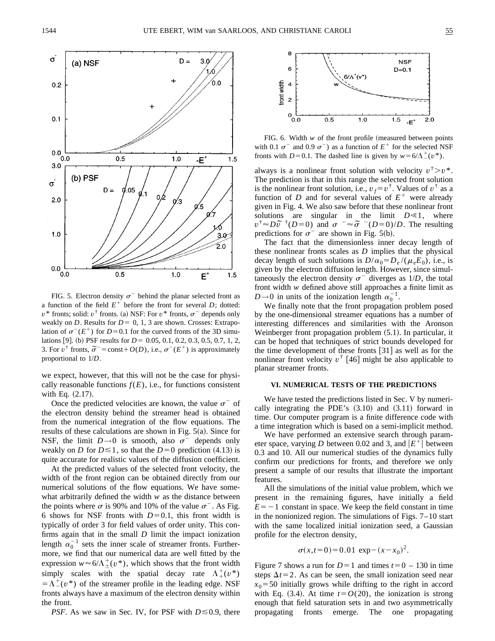

FIG. 5. Electron density  $\sigma^-$  behind the planar selected front as a function of the field  $E^+$  before the front for several *D*; dotted:  $v^*$  fronts; solid:  $v^{\dagger}$  fronts. (a) NSF: For  $v^*$  fronts,  $\sigma^-$  depends only weakly on *D*. Results for  $D = 0, 1, 3$  are shown. Crosses: Extrapolation of  $\sigma^-(E^+)$  for *D*=0.1 for the curved fronts of the 3D simulations [9]. (b) PSF results for *D* = 0.05, 0.1, 0.2, 0.3, 0.5, 0.7, 1, 2, from  $[9]$ . (b) PSF results for  $D = 0.05, 0.1, 0.2, 0.5, 0.5, 0.7, 1, 2, 0.5$ , For  $v^{\dagger}$  fronts,  $\tilde{\sigma}^{\dagger}$  = const +  $O(D)$ , i.e.,  $\sigma^{\dagger}(E^+)$  is approximately proportional to 1/*D*.

we expect, however, that this will not be the case for physically reasonable functions  $f(E)$ , i.e., for functions consistent with Eq.  $(2.17)$ .

Once the predicted velocities are known, the value  $\sigma^-$  of the electron density behind the streamer head is obtained from the numerical integration of the flow equations. The results of these calculations are shown in Fig.  $5(a)$ . Since for NSF, the limit  $D\rightarrow 0$  is smooth, also  $\sigma^-$  depends only weakly on *D* for  $D \le 1$ , so that the  $D=0$  prediction (4.13) is quite accurate for realistic values of the diffusion coefficient.

At the predicted values of the selected front velocity, the width of the front region can be obtained directly from our numerical solutions of the flow equations. We have somewhat arbitrarily defined the width *w* as the distance between the points where  $\sigma$  is 90% and 10% of the value  $\sigma^-$ . As Fig. 6 shows for NSF fronts with  $D=0.1$ , this front width is typically of order 3 for field values of order unity. This confirms again that in the small *D* limit the impact ionization length  $\alpha_0^{-1}$  sets the inner scale of streamer fronts. Furthermore, we find that our numerical data are well fitted by the expression  $w \approx 6/\Lambda^+_{\pm}(v^*)$ , which shows that the front width simply scales with the spatial decay rate  $\Lambda^+(v^*)$  $=$   $\Lambda^+(v^*)$  of the streamer profile in the leading edge. NSF fronts always have a maximum of the electron density within the front.

*PSF*. As we saw in Sec. IV, for PSF with  $D \le 0.9$ , there



FIG. 6. Width  $w$  of the front profile (measured between points with 0.1  $\sigma^-$  and 0.9  $\sigma^-$ ) as a function of  $E^+$  for the selected NSF fronts with *D*=0.1. The dashed line is given by  $w = 6/\Lambda^+(v^*)$ .

always is a nonlinear front solution with velocity  $v^{\dagger} > v^*$ . The prediction is that in this range the selected front solution is the nonlinear front solution, i.e.,  $v_f = v^{\dagger}$ . Values of  $v^{\dagger}$  as a function of *D* and for several values of  $E^+$  were already given in Fig. 4. We also saw before that these nonlinear front solutions are singular in the limit  $D \ll 1$ , where solutions are singular in the limit  $D \ll 1$ , where  $v^{\dagger} \approx D\tilde{v}^{\dagger}$  ( $D=0$ ) and  $\sigma^{-} \approx \tilde{\sigma}^{-}$  ( $D=0$ )/*D*. The resulting predictions for  $\sigma^-$  are shown in Fig. 5(b).

The fact that the dimensionless inner decay length of these nonlinear fronts scales as *D* implies that the physical decay length of such solutions is  $D/\alpha_0 = D_e/(\mu_e E_0)$ , i.e., is given by the electron diffusion length. However, since simultaneously the electron density  $\sigma^-$  diverges as 1/*D*, the total front width *w* defined above still approaches a finite limit as  $D\rightarrow 0$  in units of the ionization length  $\alpha_0^{-1}$ .

We finally note that the front propagation problem posed by the one-dimensional streamer equations has a number of interesting differences and similarities with the Aronson Weinberger front propagation problem  $(5.1)$ . In particular, it can be hoped that techniques of strict bounds developed for the time development of these fronts  $\lceil 31 \rceil$  as well as for the nonlinear front velocity  $v^{\dagger}$  [46] might be also applicable to planar streamer fronts.

# **VI. NUMERICAL TESTS OF THE PREDICTIONS**

We have tested the predictions listed in Sec. V by numerically integrating the PDE's  $(3.10)$  and  $(3.11)$  forward in time. Our computer program is a finite difference code with a time integration which is based on a semi-implicit method.

We have performed an extensive search through parameter space, varying *D* between 0.02 and 3, and  $|E^+|$  between 0.3 and 10. All our numerical studies of the dynamics fully confirm our predictions for fronts, and therefore we only present a sample of our results that illustrate the important features.

All the simulations of the initial value problem, which we present in the remaining figures, have initially a field  $E=-1$  constant in space. We keep the field constant in time in the nonionized region. The simulations of Figs. 7–10 start with the same localized initial ionization seed, a Gaussian profile for the electron density,

$$
\sigma(x,t=0) = 0.01 \exp{-(x-x_0)^2}.
$$

Figure 7 shows a run for  $D=1$  and times  $t=0 - 130$  in time steps  $\Delta t = 2$ . As can be seen, the small ionization seed near  $x_0$ =50 initially grows while drifting to the right in accord with Eq.  $(3.4)$ . At time  $t = O(20)$ , the ionization is strong enough that field saturation sets in and two asymmetrically propagating fronts emerge. The one propagating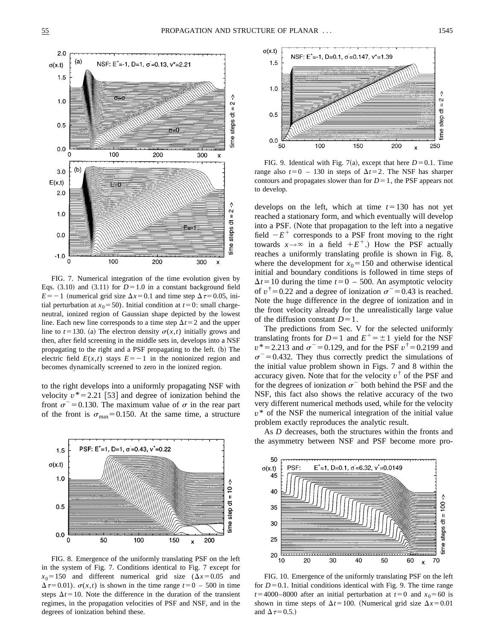

FIG. 7. Numerical integration of the time evolution given by Eqs.  $(3.10)$  and  $(3.11)$  for  $D=1.0$  in a constant background field  $E=-1$  (numerical grid size  $\Delta x=0.1$  and time step  $\Delta \tau=0.05$ , initial perturbation at  $x_0$ =50). Initial condition at  $t=0$ : small chargeneutral, ionized region of Gaussian shape depicted by the lowest line. Each new line corresponds to a time step  $\Delta t=2$  and the upper line to  $t=130$ . (a) The electron density  $\sigma(x,t)$  initially grows and then, after field screening in the middle sets in, develops into a NSF propagating to the right and a PSF propagating to the left. (b) The electric field  $E(x,t)$  stays  $E=-1$  in the nonionized region and becomes dynamically screened to zero in the ionized region.

to the right develops into a uniformly propagating NSF with velocity  $v^* = 2.21$  [53] and degree of ionization behind the front  $\sigma$ <sup>-</sup> = 0.130. The maximum value of  $\sigma$  in the rear part of the front is  $\sigma_{\text{max}}=0.150$ . At the same time, a structure



FIG. 8. Emergence of the uniformly translating PSF on the left in the system of Fig. 7. Conditions identical to Fig. 7 except for  $x_0$ =150 and different numerical grid size ( $\Delta x$ =0.05 and  $\Delta \tau = 0.01$ .  $\sigma(x,t)$  is shown in the time range  $t=0$  – 500 in time steps  $\Delta t$ =10. Note the difference in the duration of the transient regimes, in the propagation velocities of PSF and NSF, and in the degrees of ionization behind these.



FIG. 9. Identical with Fig. 7(a), except that here  $D=0.1$ . Time range also  $t=0$  – 130 in steps of  $\Delta t=2$ . The NSF has sharper contours and propagates slower than for  $D=1$ , the PSF appears not to develop.

develops on the left, which at time  $t=130$  has not yet reached a stationary form, and which eventually will develop into a PSF. (Note that propagation to the left into a negative field  $-E^+$  corresponds to a PSF front moving to the right towards  $x \rightarrow \infty$  in a field  $+E^+$ .) How the PSF actually reaches a uniformly translating profile is shown in Fig. 8, where the development for  $x_0 = 150$  and otherwise identical initial and boundary conditions is followed in time steps of  $\Delta t$ =10 during the time  $t$ =0 – 500. An asymptotic velocity of  $v^{\dagger}$ =0.22 and a degree of ionization  $\sigma$ <sup>-</sup>=0.43 is reached. Note the huge difference in the degree of ionization and in the front velocity already for the unrealistically large value of the diffusion constant  $D=1$ .

The predictions from Sec. V for the selected uniformly translating fronts for  $D=1$  and  $E^+=\pm 1$  yield for the NSF  $v^* = 2.213$  and  $\sigma^- = 0.129$ , and for the PSF  $v^{\dagger} = 0.2199$  and  $\sigma$ <sup>-</sup>=0.432. They thus correctly predict the simulations of the initial value problem shown in Figs. 7 and 8 within the accuracy given. Note that for the velocity  $v^{\dagger}$  of the PSF and for the degrees of ionization  $\sigma^-$  both behind the PSF and the NSF, this fact also shows the relative accuracy of the two very different numerical methods used, while for the velocity *v*\* of the NSF the numerical integration of the initial value problem exactly reproduces the analytic result.

As *D* decreases, both the structures within the fronts and the asymmetry between NSF and PSF become more pro-



FIG. 10. Emergence of the uniformly translating PSF on the left for  $D=0.1$ . Initial conditions identical with Fig. 9. The time range  $t=4000-8000$  after an initial perturbation at  $t=0$  and  $x_0=60$  is shown in time steps of  $\Delta t$ =100. (Numerical grid size  $\Delta x$ =0.01 and  $\Delta \tau = 0.5$ .)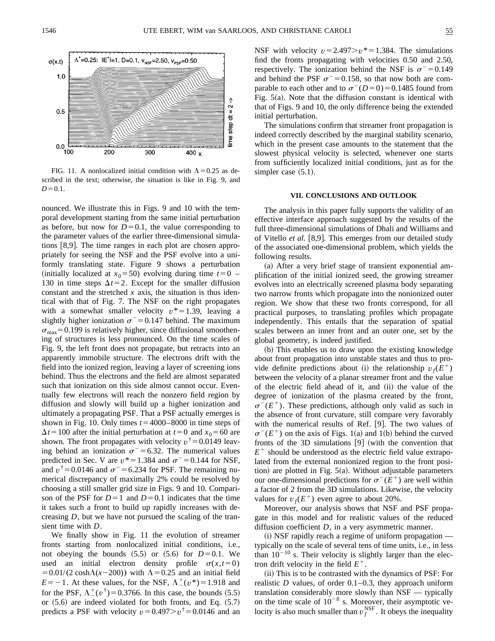

FIG. 11. A nonlocalized initial condition with  $\Lambda$ =0.25 as described in the text; otherwise, the situation is like in Fig. 9, and  $D=0.1$ .

nounced. We illustrate this in Figs. 9 and 10 with the temporal development starting from the same initial perturbation as before, but now for  $D=0.1$ , the value corresponding to the parameter values of the earlier three-dimensional simulations  $[8,9]$ . The time ranges in each plot are chosen appropriately for seeing the NSF and the PSF evolve into a uniformly translating state. Figure 9 shows a perturbation (initially localized at  $x_0 = 50$ ) evolving during time  $t = 0$  – 130 in time steps  $\Delta t=2$ . Except for the smaller diffusion constant and the stretched *x* axis, the situation is thus identical with that of Fig. 7. The NSF on the right propagates with a somewhat smaller velocity  $v^* = 1.39$ , leaving a slightly higher ionization  $\sigma$ <sup>-</sup>=0.147 behind. The maximum  $\sigma_{\text{max}}$ =0.199 is relatively higher, since diffusional smoothening of structures is less pronounced. On the time scales of Fig. 9, the left front does not propagate, but retracts into an apparently immobile structure. The electrons drift with the field into the ionized region, leaving a layer of screening ions behind. Thus the electrons and the field are almost separated such that ionization on this side almost cannot occur. Eventually few electrons will reach the nonzero field region by diffusion and slowly will build up a higher ionization and ultimately a propagating PSF. That a PSF actually emerges is shown in Fig. 10. Only times  $t=4000-8000$  in time steps of  $\Delta t$ =100 after the initial perturbation at *t*=0 and *x*<sub>0</sub>=60 are shown. The front propagates with velocity  $v^{\dagger}=0.0149$  leaving behind an ionization  $\sigma$ <sup>-</sup> = 6.32. The numerical values predicted in Sec. V are  $v^* = 1.384$  and  $\sigma^- = 0.144$  for NSF, and  $v^{\dagger}=0.0146$  and  $\sigma^{\dagger}=6.234$  for PSF. The remaining numerical discrepancy of maximally 2% could be resolved by choosing a still smaller grid size in Figs. 9 and 10. Comparison of the PSF for  $D=1$  and  $D=0.1$  indicates that the time it takes such a front to build up rapidly increases with decreasing *D*, but we have not pursued the scaling of the transient time with *D*.

We finally show in Fig. 11 the evolution of streamer fronts starting from nonlocalized initial conditions, i.e., not obeying the bounds  $(5.5)$  or  $(5.6)$  for  $D=0.1$ . We used an initial electron density profile  $\sigma(x,t=0)$  $=0.01/(2 \cosh\Lambda(x-200))$  with  $\Lambda=0.25$  and an initial field  $E=-1$ . At these values, for the NSF,  $\Lambda^+(v^*)=1.918$  and for the PSF,  $\Lambda^+(v^{\dagger})=0.3766$ . In this case, the bounds (5.5) or  $(5.6)$  are indeed violated for both fronts, and Eq.  $(5.7)$ predicts a PSF with velocity  $v=0.497>v^{\dagger}=0.0146$  and an

NSF with velocity  $v=2.497>v^*=1.384$ . The simulations find the fronts propagating with velocities 0.50 and 2.50, respectively. The ionization behind the NSF is  $\sigma$ <sup>-</sup>=0.149 and behind the PSF  $\sigma$ <sup>-</sup> = 0.158, so that now both are comparable to each other and to  $\sigma^{-}(D=0) = 0.1485$  found from Fig.  $5(a)$ . Note that the diffusion constant is identical with that of Figs. 9 and 10, the only difference being the extended initial perturbation.

The simulations confirm that streamer front propagation is indeed correctly described by the marginal stability scenario, which in the present case amounts to the statement that the slowest physical velocity is selected, whenever one starts from sufficiently localized initial conditions, just as for the simpler case  $(5.1)$ .

### **VII. CONCLUSIONS AND OUTLOOK**

The analysis in this paper fully supports the validity of an effective interface approach suggested by the results of the full three-dimensional simulations of Dhali and Williams and of Vitello *et al.* [8,9]. This emerges from our detailed study of the associated one-dimensional problem, which yields the following results.

(a) After a very brief stage of transient exponential amplification of the initial ionized seed, the growing streamer evolves into an electrically screened plasma body separating two narrow fronts which propagate into the nonionized outer region. We show that these two fronts correspond, for all practical purposes, to translating profiles which propagate independently. This entails that the separation of spatial scales between an inner front and an outer one, set by the global geometry, is indeed justified.

(b) This enables us to draw upon the existing knowledge about front propagation into unstable states and thus to provide definite predictions about (i) the relationship  $v_f(E^+)$ between the velocity of a planar streamer front and the value of the electric field ahead of it, and (ii) the value of the degree of ionization of the plasma created by the front,  $\sigma^-(E^+)$ . These predictions, although only valid as such in the absence of front curvature, still compare very favorably with the numerical results of Ref.  $[9]$ . The two values of  $\sigma^-(E^+)$  on the axis of Figs. 1(a) and 1(b) behind the curved fronts of the 3D simulations  $[9]$  (with the convention that  $E^+$  should be understood as the electric field value extrapolated from the external nonionized region to the front position) are plotted in Fig.  $5(a)$ . Without adjustable parameters our one-dimensional predictions for  $\sigma^-(E^+)$  are well within a factor of 2 from the 3D simulations. Likewise, the velocity values for  $v_f(E^+)$  even agree to about 20%.

Moreover, our analysis shows that NSF and PSF propagate in this model and for realistic values of the reduced diffusion coefficient *D*, in a very asymmetric manner.

 $(i)$  NSF rapidly reach a regime of uniform propagation typically on the scale of several tens of time units, i.e., in less than  $10^{-10}$  s. Their velocity is slightly larger than the electron drift velocity in the field  $E^+$ .

(ii) This is to be contrasted with the dynamics of PSF: For realistic *D* values, of order 0.1–0.3, they approach uniform translation considerably more slowly than NSF — typically on the time scale of  $10^{-8}$  s. Moreover, their asymptotic velocity is also much smaller than  $v_f^{\text{NSF}}$ . It obeys the inequality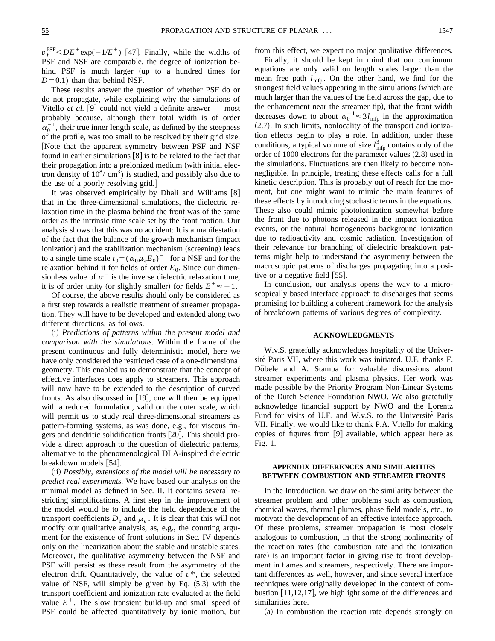$v_f^{\text{PSF}} < DE^+$ exp( $-1/E^+$ ) [47]. Finally, while the widths of PSF and NSF are comparable, the degree of ionization behind PSF is much larger (up to a hundred times for  $D=0.1$ ) than that behind NSF.

These results answer the question of whether PSF do or do not propagate, while explaining why the simulations of Vitello *et al.* [9] could not yield a definite answer — most probably because, although their total width is of order  $\alpha_0^{-1}$ , their true inner length scale, as defined by the steepness of the profile, was too small to be resolved by their grid size. [Note that the apparent symmetry between PSF and NSF found in earlier simulations  $[8]$  is to be related to the fact that their propagation into a preionized medium (with initial electron density of  $10^{8} / \text{ cm}^3$ ) is studied, and possibly also due to the use of a poorly resolving grid.

It was observed empirically by Dhali and Williams  $[8]$ that in the three-dimensional simulations, the dielectric relaxation time in the plasma behind the front was of the same order as the intrinsic time scale set by the front motion. Our analysis shows that this was no accident: It is a manifestation of the fact that the balance of the growth mechanism (impact ionization) and the stabilization mechanism (screening) leads to a single time scale  $t_0 = (\alpha_0 \mu_e E_0)^{-1}$  for a NSF and for the relaxation behind it for fields of order  $E_0$ . Since our dimensionless value of  $\sigma^-$  is the inverse dielectric relaxation time, it is of order unity (or slightly smaller) for fields  $E^+ \approx -1$ .

Of course, the above results should only be considered as a first step towards a realistic treatment of streamer propagation. They will have to be developed and extended along two different directions, as follows.

 $(i)$  *Predictions of patterns within the present model and comparison with the simulations.* Within the frame of the present continuous and fully deterministic model, here we have only considered the restricted case of a one-dimensional geometry. This enabled us to demonstrate that the concept of effective interfaces does apply to streamers. This approach will now have to be extended to the description of curved fronts. As also discussed in  $[19]$ , one will then be equipped with a reduced formulation, valid on the outer scale, which will permit us to study real three-dimensional streamers as pattern-forming systems, as was done, e.g., for viscous fingers and dendritic solidification fronts [20]. This should provide a direct approach to the question of dielectric patterns, alternative to the phenomenological DLA-inspired dielectric breakdown models  $[54]$ .

(ii) Possibly, extensions of the model will be necessary to *predict real experiments.* We have based our analysis on the minimal model as defined in Sec. II. It contains several restricting simplifications. A first step in the improvement of the model would be to include the field dependence of the transport coefficients  $D_e$  and  $\mu_e$ . It is clear that this will not modify our qualitative analysis, as, e.g., the counting argument for the existence of front solutions in Sec. IV depends only on the linearization about the stable and unstable states. Moreover, the qualitative asymmetry between the NSF and PSF will persist as these result from the asymmetry of the electron drift. Quantitatively, the value of  $v^*$ , the selected value of NSF, will simply be given by Eq.  $(5.3)$  with the transport coefficient and ionization rate evaluated at the field value  $E^+$ . The slow transient build-up and small speed of PSF could be affected quantitatively by ionic motion, but from this effect, we expect no major qualitative differences.

Finally, it should be kept in mind that our continuum equations are only valid on length scales larger than the mean free path  $l_{\text{mfp}}$ . On the other hand, we find for the strongest field values appearing in the simulations (which are much larger than the values of the field across the gap, due to the enhancement near the streamer tip), that the front width decreases down to about  $\alpha_0^{-1} \approx 3 l_{\text{mfp}}$  in the approximation  $(2.7)$ . In such limits, nonlocality of the transport and ionization effects begin to play a role. In addition, under these conditions, a typical volume of size  $l_{\text{mfp}}^3$  contains only of the order of  $1000$  electrons for the parameter values  $(2.8)$  used in the simulations. Fluctuations are then likely to become nonnegligible. In principle, treating these effects calls for a full kinetic description. This is probably out of reach for the moment, but one might want to mimic the main features of these effects by introducing stochastic terms in the equations. These also could mimic photoionization somewhat before the front due to photons released in the impact ionization events, or the natural homogeneous background ionization due to radioactivity and cosmic radiation. Investigation of their relevance for branching of dielectric breakdown patterns might help to understand the asymmetry between the macroscopic patterns of discharges propagating into a positive or a negative field  $|55|$ .

In conclusion, our analysis opens the way to a microscopically based interface approach to discharges that seems promising for building a coherent framework for the analysis of breakdown patterns of various degrees of complexity.

# **ACKNOWLEDGMENTS**

W.v.S. gratefully acknowledges hospitality of the Université Paris VII, where this work was initiated. U.E. thanks F. Döbele and A. Stampa for valuable discussions about streamer experiments and plasma physics. Her work was made possible by the Priority Program Non-Linear Systems of the Dutch Science Foundation NWO. We also gratefully acknowledge financial support by NWO and the Lorentz Fund for visits of U.E. and W.v.S. to the Université Paris VII. Finally, we would like to thank P.A. Vitello for making copies of figures from  $[9]$  available, which appear here as Fig. 1.

# **APPENDIX DIFFERENCES AND SIMILARITIES BETWEEN COMBUSTION AND STREAMER FRONTS**

In the Introduction, we draw on the similarity between the streamer problem and other problems such as combustion, chemical waves, thermal plumes, phase field models, etc., to motivate the development of an effective interface approach. Of these problems, streamer propagation is most closely analogous to combustion, in that the strong nonlinearity of the reaction rates (the combustion rate and the ionization rate) is an important factor in giving rise to front development in flames and streamers, respectively. There are important differences as well, however, and since several interface techniques were originally developed in the context of combustion  $[11,12,17]$ , we highlight some of the differences and similarities here.

(a) In combustion the reaction rate depends strongly on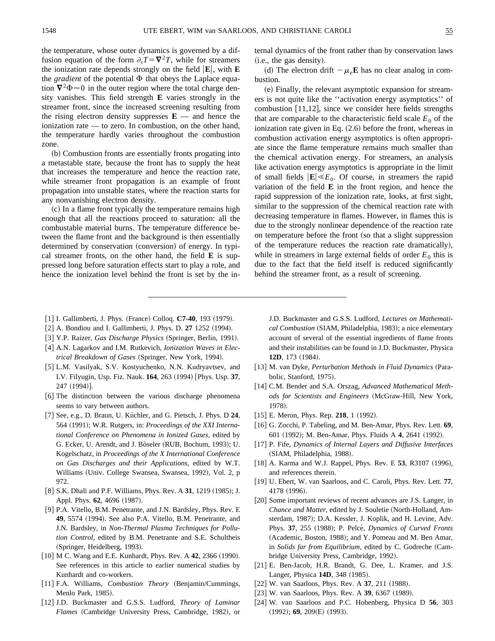the temperature, whose outer dynamics is governed by a diffusion equation of the form  $\partial_t T = \nabla^2 T$ , while for streamers the ionization rate depends strongly on the field  $|\mathbf{E}|$ , with **E** the *gradient* of the potential  $\Phi$  that obeys the Laplace equation  $\nabla^2 \Phi \approx 0$  in the outer region where the total charge density vanishes. This field strength **E** varies strongly in the streamer front, since the increased screening resulting from the rising electron density suppresses  $E$  — and hence the ionization rate — to zero. In combustion, on the other hand, the temperature hardly varies throughout the combustion zone.

~b! Combustion fronts are essentially fronts progating into a metastable state, because the front has to supply the heat that increases the temperature and hence the reaction rate, while streamer front propagation is an example of front propagation into unstable states, where the reaction starts for any nonvanishing electron density.

~c! In a flame front typically the temperature remains high enough that all the reactions proceed to saturation: all the combustable material burns. The temperature difference between the flame front and the background is then essentially determined by conservation (conversion) of energy. In typical streamer fronts, on the other hand, the field **E** is suppressed long before saturation effects start to play a role, and hence the ionization level behind the front is set by the internal dynamics of the front rather than by conservation laws  $(i.e., the gas density).$ 

(d) The electron drift  $-\mu_e\mathbf{E}$  has no clear analog in combustion.

 $(e)$  Finally, the relevant asymptotic expansion for streamers is not quite like the ''activation energy asymptotics'' of combustion  $\lfloor 11,12 \rfloor$ , since we consider here fields strengths that are comparable to the characteristic field scale  $E_0$  of the ionization rate given in Eq.  $(2.6)$  before the front, whereas in combustion activation energy asymptotics is often appropriate since the flame temperature remains much smaller than the chemical activation energy. For streamers, an analysis like activation energy asymptotics is appropriate in the limit of small fields  $|\mathbf{E}| \ll E_0$ . Of course, in streamers the rapid variation of the field **E** in the front region, and hence the rapid suppression of the ionization rate, looks, at first sight, similar to the suppression of the chemical reaction rate with decreasing temperature in flames. However, in flames this is due to the strongly nonlinear dependence of the reaction rate on temperature before the front (so that a slight suppression of the temperature reduces the reaction rate dramatically), while in streamers in large external fields of order  $E_0$  this is due to the fact that the field itself is reduced significantly behind the streamer front, as a result of screening.

- [1] I. Gallimberti, J. Phys. (France) Colloq. **C7-40**, 193 (1979).
- [2] A. Bondiou and I. Gallimberti, J. Phys. D. **27** 1252 (1994).
- [3] Y.P. Raizer, *Gas Discharge Physics* (Springer, Berlin, 1991).
- [4] A.N. Lagarkov and I.M. Rutkevich, *Ionization Waves in Electrical Breakdown of Gases* (Springer, New York, 1994).
- [5] L.M. Vasilyak, S.V. Kostyuchenko, N.N. Kudryavtsev, and I.V. Filyugin, Usp. Fiz. Nauk. **164**, 263 (1994) [Phys. Usp. 37,  $247 (1994)$ ].
- [6] The distinction between the various discharge phenomena seems to vary between authors.
- [7] See, e.g., D. Braun, U. Küchler, and G. Pietsch, J. Phys. D 24, 564 (1991); W.R. Rutgers, in: *Proceedings of the XXI International Conference on Phenomena in Ionized Gases*, edited by G. Ecker, U. Arendt, and J. Böseler (RUB, Bochum, 1993); U. Kogelschatz, in *Proceedings of the X International Conference on Gas Discharges and their Applications*, edited by W.T. Williams (Univ. College Swansea, Swansea, 1992), Vol. 2, p 972.
- [8] S.K. Dhali and P.F. Williams, Phys. Rev. A 31, 1219 (1985); J. Appl. Phys. **62**, 4696 (1987).
- [9] P.A. Vitello, B.M. Penetrante, and J.N. Bardsley, Phys. Rev. E **49**, 5574 (1994). See also P.A. Vitello, B.M. Penetrante, and J.N. Bardsley, in *Non-Thermal Plasma Techniques for Pollution Control*, edited by B.M. Penetrante and S.E. Schultheis (Springer, Heidelberg, 1993).
- [10] M C. Wang and E.E. Kunhardt, Phys. Rev. A 42, 2366 (1990). See references in this article to earlier numerical studies by Kunhardt and co-workers.
- [11] F.A. Williams, *Combustion Theory* (Benjamin/Cummings, Menlo Park, 1985).
- [12] J.D. Buckmaster and G.S.S. Ludford, *Theory of Laminar Flames* (Cambridge University Press, Cambridge, 1982), or

J.D. Buckmaster and G.S.S. Ludford, *Lectures on Mathematical Combustion* (SIAM, Philadelphia, 1983); a nice elementary account of several of the essential ingredients of flame fronts and their instabilities can be found in J.D. Buckmaster, Physica **12D**, 173 (1984).

- [13] M. van Dyke, *Perturbation Methods in Fluid Dynamics* (Parabolic, Stanford, 1975).
- [14] C.M. Bender and S.A. Orszag, *Advanced Mathematical Meth* $ods$  for Scientists and Engineers (McGraw-Hill, New York, 1978).
- $[15]$  E. Meron, Phys. Rep. 218, 1  $(1992)$ .
- [16] G. Zocchi, P. Tabeling, and M. Ben-Amar, Phys. Rev. Lett. 69, 601 (1992); M. Ben-Amar, Phys. Fluids A 4, 2641 (1992).
- [17] P. Fife, *Dynamics of Internal Layers and Diffusive Interfaces* (SIAM, Philadelphia, 1988).
- [18] A. Karma and W.J. Rappel, Phys. Rev. E 53, R3107 (1996), and references therein.
- @19# U. Ebert, W. van Saarloos, and C. Caroli, Phys. Rev. Lett. **77**, 4178 (1996).
- [20] Some important reviews of recent advances are J.S. Langer, in *Chance and Matter*, edited by J. Souletie (North-Holland, Amsterdam, 1987); D.A. Kessler, J. Koplik, and H. Levine, Adv. Phys. 37, 255 (1988); P. Pelcé, *Dynamics of Curved Fronts* (Academic, Boston, 1988); and Y. Pomeau and M. Ben Amar, in *Solids far from Equilibrium*, edited by C. Godreche (Cambridge University Press, Cambridge, 1992).
- [21] E. Ben-Jacob, H.R. Brandt, G. Dee, L. Kramer, and J.S. Langer, Physica **14D**, 348 (1985).
- [22] W. van Saarloos, Phys. Rev. A 37, 211 (1988).
- [23] W. van Saarloos, Phys. Rev. A **39**, 6367 (1989).
- [24] W. van Saarloos and P.C. Hohenberg, Physica D 56, 303  $(1992);$  **69**, 209(E) (1993).